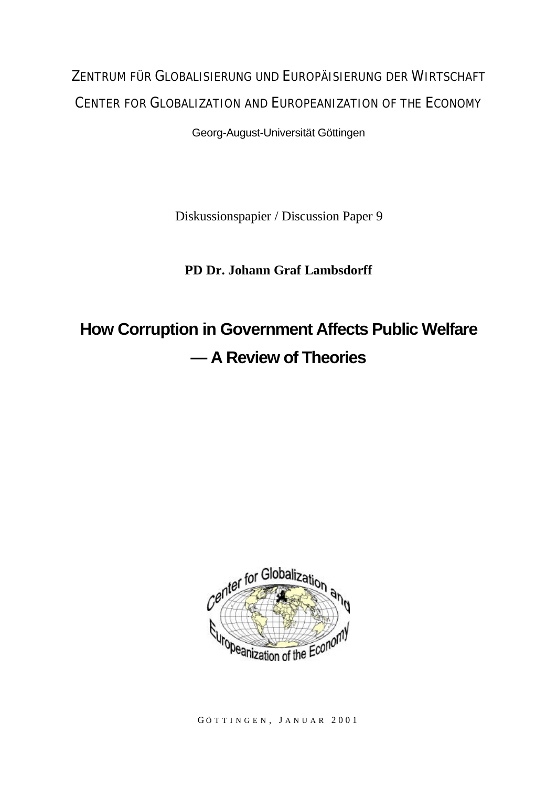## ZENTRUM FÜR GLOBALISIERUNG UND EUROPÄISIERUNG DER WIRTSCHAFT CENTER FOR GLOBALIZATION AND EUROPEANIZATION OF THE ECONOMY

Georg-August-Universität Göttingen

Diskussionspapier / Discussion Paper 9

### **PD Dr. Johann Graf Lambsdorff**

# **How Corruption in Government Affects Public Welfare — A Review of Theories**



G ÖTTINGEN , J ANUAR 2001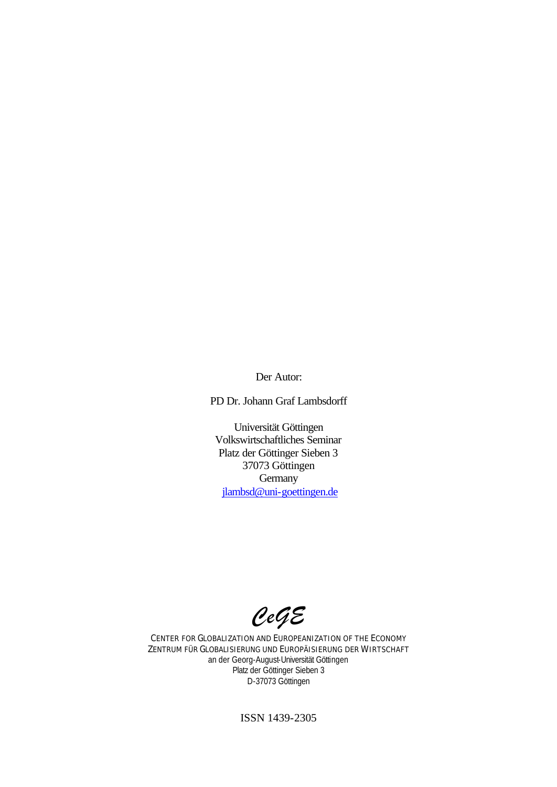Der Autor:

PD Dr. Johann Graf Lambsdorff

Universität Göttingen Volkswirtschaftliches Seminar Platz der Göttinger Sieben 3 37073 Göttingen **Germany** jlambsd@uni-goettingen.de

*CeGE*

CENTER FOR GLOBALIZATION AND EUROPEANIZATION OF THE ECONOMY ZENTRUM FÜR GLOBALISIERUNG UND EUROPÄISIERUNG DER WIRTSCHAFT an der Georg-August-Universität Göttingen Platz der Göttinger Sieben 3 D-37073 Göttingen

ISSN 1439-2305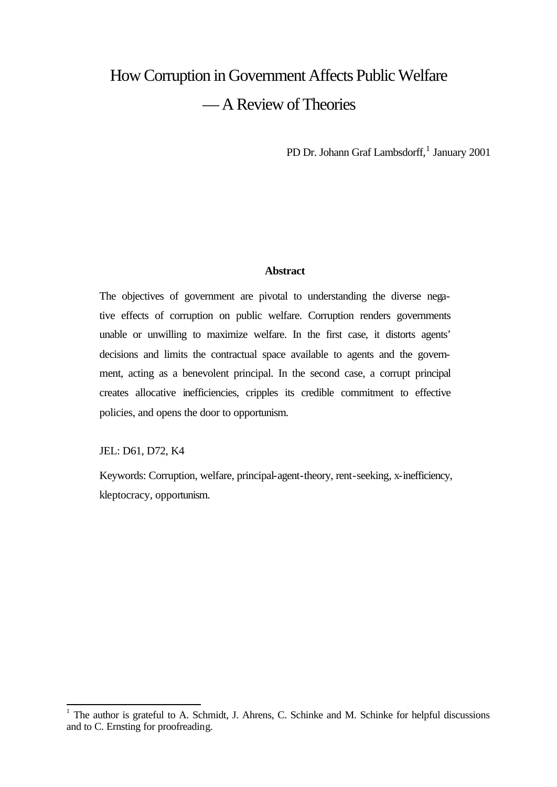## How Corruption in Government Affects Public Welfare — A Review of Theories

PD Dr. Johann Graf Lambsdorff,<sup>1</sup> January 2001

#### **Abstract**

The objectives of government are pivotal to understanding the diverse negative effects of corruption on public welfare. Corruption renders governments unable or unwilling to maximize welfare. In the first case, it distorts agents' decisions and limits the contractual space available to agents and the government, acting as a benevolent principal. In the second case, a corrupt principal creates allocative inefficiencies, cripples its credible commitment to effective policies, and opens the door to opportunism.

JEL: D61, D72, K4

Keywords: Corruption, welfare, principal-agent-theory, rent-seeking, x-inefficiency, kleptocracy, opportunism.

<sup>&</sup>lt;sup>1</sup> The author is grateful to A. Schmidt, J. Ahrens, C. Schinke and M. Schinke for helpful discussions and to C. Ernsting for proofreading.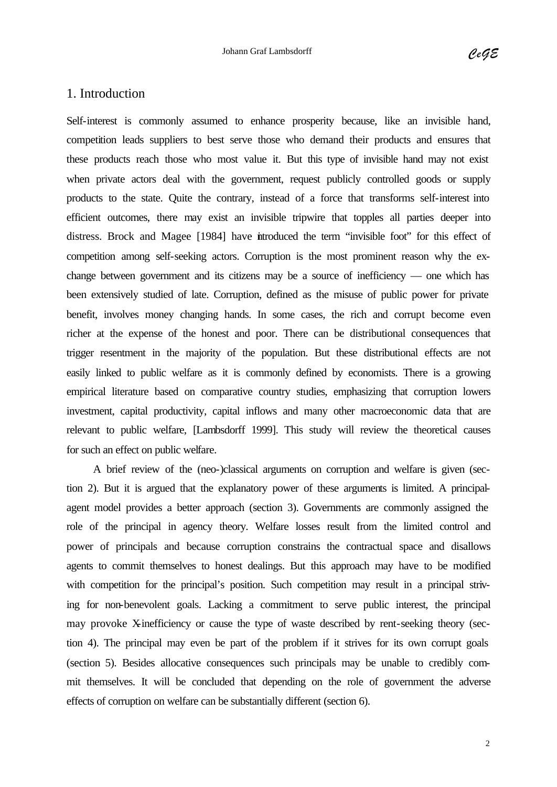#### 1. Introduction

Self-interest is commonly assumed to enhance prosperity because, like an invisible hand, competition leads suppliers to best serve those who demand their products and ensures that these products reach those who most value it. But this type of invisible hand may not exist when private actors deal with the government, request publicly controlled goods or supply products to the state. Quite the contrary, instead of a force that transforms self-interest into efficient outcomes, there may exist an invisible tripwire that topples all parties deeper into distress. Brock and Magee [1984] have introduced the term "invisible foot" for this effect of competition among self-seeking actors. Corruption is the most prominent reason why the exchange between government and its citizens may be a source of inefficiency — one which has been extensively studied of late. Corruption, defined as the misuse of public power for private benefit, involves money changing hands. In some cases, the rich and corrupt become even richer at the expense of the honest and poor. There can be distributional consequences that trigger resentment in the majority of the population. But these distributional effects are not easily linked to public welfare as it is commonly defined by economists. There is a growing empirical literature based on comparative country studies, emphasizing that corruption lowers investment, capital productivity, capital inflows and many other macroeconomic data that are relevant to public welfare, [Lambsdorff 1999]. This study will review the theoretical causes for such an effect on public welfare.

A brief review of the (neo-)classical arguments on corruption and welfare is given (section 2). But it is argued that the explanatory power of these arguments is limited. A principalagent model provides a better approach (section 3). Governments are commonly assigned the role of the principal in agency theory. Welfare losses result from the limited control and power of principals and because corruption constrains the contractual space and disallows agents to commit themselves to honest dealings. But this approach may have to be modified with competition for the principal's position. Such competition may result in a principal striving for non-benevolent goals. Lacking a commitment to serve public interest, the principal may provoke X-inefficiency or cause the type of waste described by rent-seeking theory (section 4). The principal may even be part of the problem if it strives for its own corrupt goals (section 5). Besides allocative consequences such principals may be unable to credibly commit themselves. It will be concluded that depending on the role of government the adverse effects of corruption on welfare can be substantially different (section 6).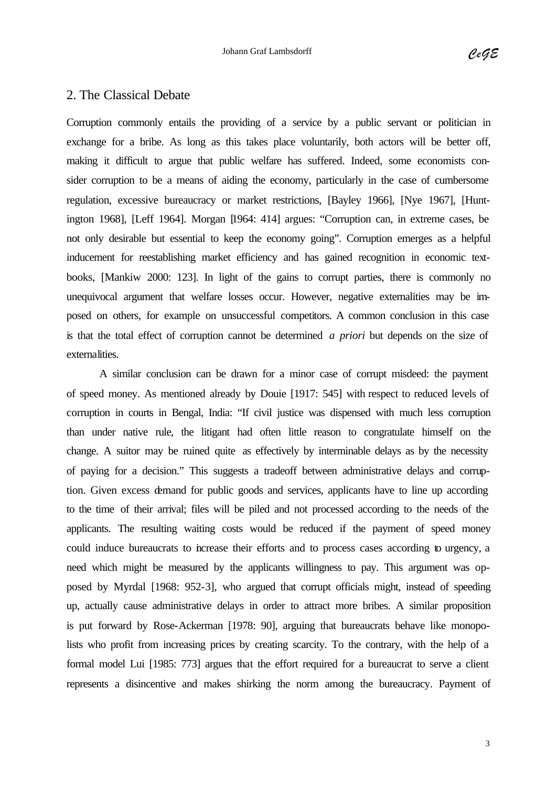#### 2. The Classical Debate

Corruption commonly entails the providing of a service by a public servant or politician in exchange for a bribe. As long as this takes place voluntarily, both actors will be better off, making it difficult to argue that public welfare has suffered. Indeed, some economists consider corruption to be a means of aiding the economy, particularly in the case of cumbersome regulation, excessive bureaucracy or market restrictions, [Bayley 1966], [Nye 1967], [Huntington 1968], [Leff 1964]. Morgan [1964: 414] argues: "Corruption can, in extreme cases, be not only desirable but essential to keep the economy going". Corruption emerges as a helpful inducement for reestablishing market efficiency and has gained recognition in economic textbooks, [Mankiw 2000: 123]. In light of the gains to corrupt parties, there is commonly no unequivocal argument that welfare losses occur. However, negative externalities may be imposed on others, for example on unsuccessful competitors. A common conclusion in this case is that the total effect of corruption cannot be determined *a priori* but depends on the size of externalities.

A similar conclusion can be drawn for a minor case of corrupt misdeed: the payment of speed money. As mentioned already by Douie [1917: 545] with respect to reduced levels of corruption in courts in Bengal, India: "If civil justice was dispensed with much less corruption than under native rule, the litigant had often little reason to congratulate himself on the change. A suitor may be ruined quite as effectively by interminable delays as by the necessity of paying for a decision." This suggests a tradeoff between administrative delays and corruption. Given excess demand for public goods and services, applicants have to line up according to the time of their arrival; files will be piled and not processed according to the needs of the applicants. The resulting waiting costs would be reduced if the payment of speed money could induce bureaucrats to increase their efforts and to process cases according to urgency, a need which might be measured by the applicants willingness to pay. This argument was opposed by Myrdal [1968: 952-3], who argued that corrupt officials might, instead of speeding up, actually cause administrative delays in order to attract more bribes. A similar proposition is put forward by Rose-Ackerman [1978: 90], arguing that bureaucrats behave like monopolists who profit from increasing prices by creating scarcity. To the contrary, with the help of a formal model Lui [1985: 773] argues that the effort required for a bureaucrat to serve a client represents a disincentive and makes shirking the norm among the bureaucracy. Payment of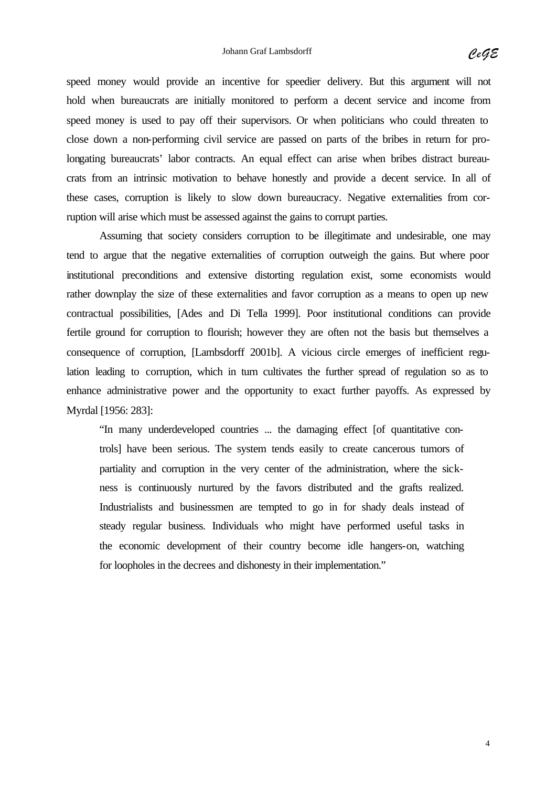speed money would provide an incentive for speedier delivery. But this argument will not hold when bureaucrats are initially monitored to perform a decent service and income from speed money is used to pay off their supervisors. Or when politicians who could threaten to close down a non-performing civil service are passed on parts of the bribes in return for prolongating bureaucrats' labor contracts. An equal effect can arise when bribes distract bureaucrats from an intrinsic motivation to behave honestly and provide a decent service. In all of these cases, corruption is likely to slow down bureaucracy. Negative externalities from corruption will arise which must be assessed against the gains to corrupt parties.

Assuming that society considers corruption to be illegitimate and undesirable, one may tend to argue that the negative externalities of corruption outweigh the gains. But where poor institutional preconditions and extensive distorting regulation exist, some economists would rather downplay the size of these externalities and favor corruption as a means to open up new contractual possibilities, [Ades and Di Tella 1999]. Poor institutional conditions can provide fertile ground for corruption to flourish; however they are often not the basis but themselves a consequence of corruption, [Lambsdorff 2001b]. A vicious circle emerges of inefficient regulation leading to corruption, which in turn cultivates the further spread of regulation so as to enhance administrative power and the opportunity to exact further payoffs. As expressed by Myrdal [1956: 283]:

"In many underdeveloped countries ... the damaging effect [of quantitative controls] have been serious. The system tends easily to create cancerous tumors of partiality and corruption in the very center of the administration, where the sickness is continuously nurtured by the favors distributed and the grafts realized. Industrialists and businessmen are tempted to go in for shady deals instead of steady regular business. Individuals who might have performed useful tasks in the economic development of their country become idle hangers-on, watching for loopholes in the decrees and dishonesty in their implementation."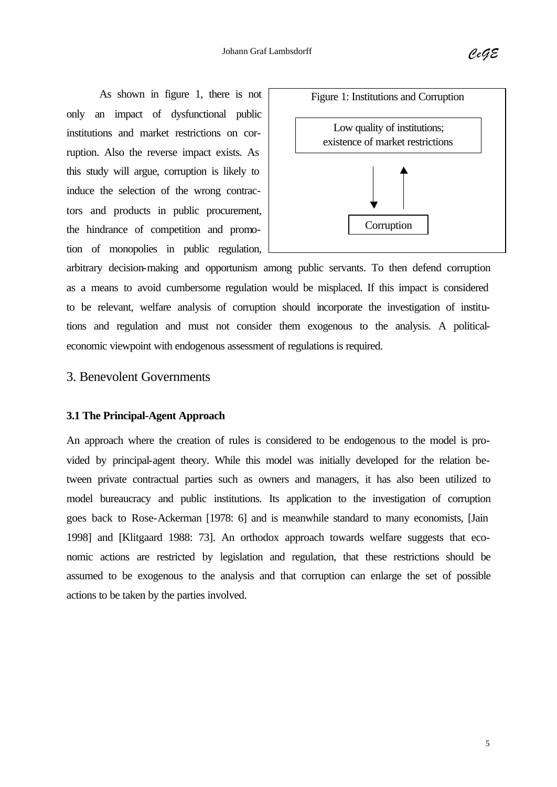As shown in figure 1, there is not only an impact of dysfunctional public institutions and market restrictions on corruption. Also the reverse impact exists. As this study will argue, corruption is likely to induce the selection of the wrong contractors and products in public procurement, the hindrance of competition and promotion of monopolies in public regulation,



arbitrary decision-making and opportunism among public servants. To then defend corruption as a means to avoid cumbersome regulation would be misplaced. If this impact is considered to be relevant, welfare analysis of corruption should incorporate the investigation of institutions and regulation and must not consider them exogenous to the analysis. A politicaleconomic viewpoint with endogenous assessment of regulations is required.

#### 3. Benevolent Governments

#### **3.1 The Principal-Agent Approach**

An approach where the creation of rules is considered to be endogenous to the model is provided by principal-agent theory. While this model was initially developed for the relation between private contractual parties such as owners and managers, it has also been utilized to model bureaucracy and public institutions. Its application to the investigation of corruption goes back to Rose-Ackerman [1978: 6] and is meanwhile standard to many economists, [Jain 1998] and [Klitgaard 1988: 73]. An orthodox approach towards welfare suggests that economic actions are restricted by legislation and regulation, that these restrictions should be assumed to be exogenous to the analysis and that corruption can enlarge the set of possible actions to be taken by the parties involved.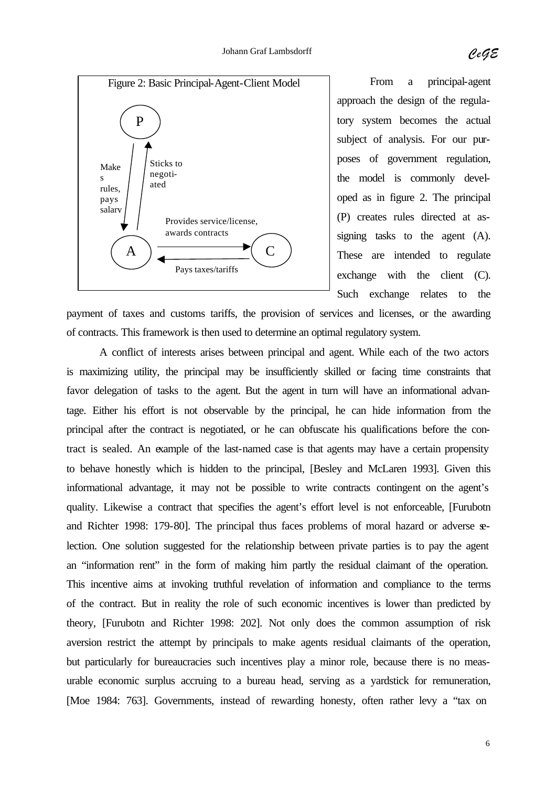

From a principal-agent approach the design of the regulatory system becomes the actual subject of analysis. For our purposes of government regulation, the model is commonly developed as in figure 2. The principal (P) creates rules directed at assigning tasks to the agent (A). These are intended to regulate exchange with the client (C). Such exchange relates to the

payment of taxes and customs tariffs, the provision of services and licenses, or the awarding of contracts. This framework is then used to determine an optimal regulatory system.

A conflict of interests arises between principal and agent. While each of the two actors is maximizing utility, the principal may be insufficiently skilled or facing time constraints that favor delegation of tasks to the agent. But the agent in turn will have an informational advantage. Either his effort is not observable by the principal, he can hide information from the principal after the contract is negotiated, or he can obfuscate his qualifications before the contract is sealed. An example of the last-named case is that agents may have a certain propensity to behave honestly which is hidden to the principal, [Besley and McLaren 1993]. Given this informational advantage, it may not be possible to write contracts contingent on the agent's quality. Likewise a contract that specifies the agent's effort level is not enforceable, [Furubotn and Richter 1998: 179-80]. The principal thus faces problems of moral hazard or adverse selection. One solution suggested for the relationship between private parties is to pay the agent an "information rent" in the form of making him partly the residual claimant of the operation. This incentive aims at invoking truthful revelation of information and compliance to the terms of the contract. But in reality the role of such economic incentives is lower than predicted by theory, [Furubotn and Richter 1998: 202]. Not only does the common assumption of risk aversion restrict the attempt by principals to make agents residual claimants of the operation, but particularly for bureaucracies such incentives play a minor role, because there is no measurable economic surplus accruing to a bureau head, serving as a yardstick for remuneration, [Moe 1984: 763]. Governments, instead of rewarding honesty, often rather levy a "tax on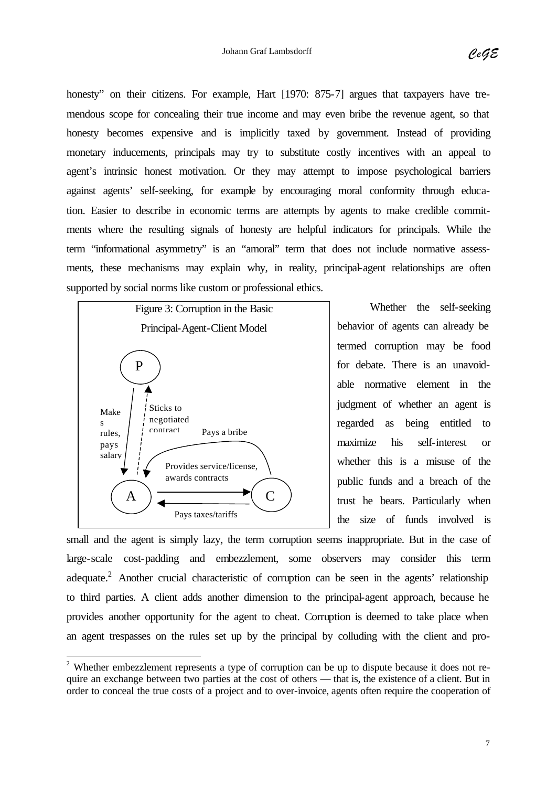honesty" on their citizens. For example, Hart [1970: 875-7] argues that taxpayers have tremendous scope for concealing their true income and may even bribe the revenue agent, so that honesty becomes expensive and is implicitly taxed by government. Instead of providing monetary inducements, principals may try to substitute costly incentives with an appeal to agent's intrinsic honest motivation. Or they may attempt to impose psychological barriers against agents' self-seeking, for example by encouraging moral conformity through education. Easier to describe in economic terms are attempts by agents to make credible commitments where the resulting signals of honesty are helpful indicators for principals. While the term "informational asymmetry" is an "amoral" term that does not include normative assessments, these mechanisms may explain why, in reality, principal-agent relationships are often supported by social norms like custom or professional ethics.



l

Whether the self-seeking behavior of agents can already be termed corruption may be food for debate. There is an unavoidable normative element in the judgment of whether an agent is regarded as being entitled to maximize his self-interest or whether this is a misuse of the public funds and a breach of the trust he bears. Particularly when the size of funds involved is

small and the agent is simply lazy, the term corruption seems inappropriate. But in the case of large-scale cost-padding and embezzlement, some observers may consider this term adequate.<sup>2</sup> Another crucial characteristic of corruption can be seen in the agents' relationship to third parties. A client adds another dimension to the principal-agent approach, because he provides another opportunity for the agent to cheat. Corruption is deemed to take place when an agent trespasses on the rules set up by the principal by colluding with the client and pro-

<sup>&</sup>lt;sup>2</sup> Whether embezzlement represents a type of corruption can be up to dispute because it does not require an exchange between two parties at the cost of others — that is, the existence of a client. But in order to conceal the true costs of a project and to over-invoice, agents often require the cooperation of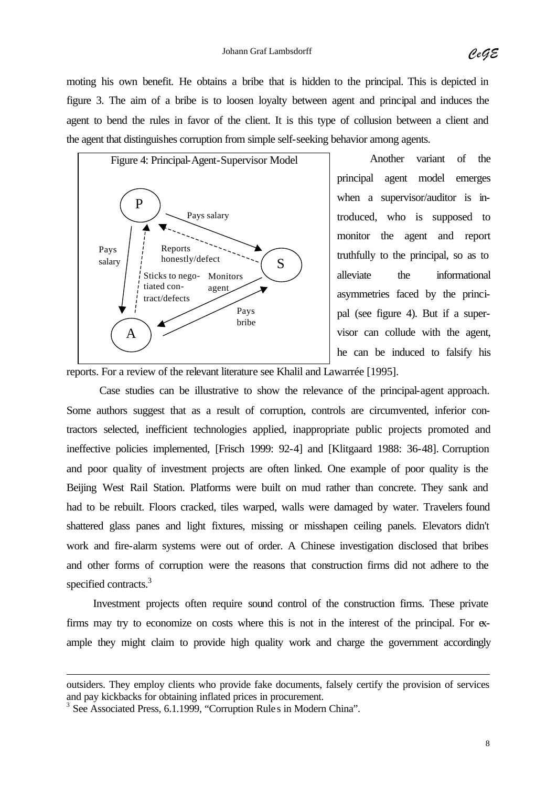moting his own benefit. He obtains a bribe that is hidden to the principal. This is depicted in figure 3. The aim of a bribe is to loosen loyalty between agent and principal and induces the agent to bend the rules in favor of the client. It is this type of collusion between a client and the agent that distinguishes corruption from simple self-seeking behavior among agents.



Another variant of the principal agent model emerges when a supervisor/auditor is introduced, who is supposed to monitor the agent and report truthfully to the principal, so as to alleviate the informational asymmetries faced by the principal (see figure 4). But if a supervisor can collude with the agent, he can be induced to falsify his

reports. For a review of the relevant literature see Khalil and Lawarrée [1995].

Case studies can be illustrative to show the relevance of the principal-agent approach. Some authors suggest that as a result of corruption, controls are circumvented, inferior contractors selected, inefficient technologies applied, inappropriate public projects promoted and ineffective policies implemented, [Frisch 1999: 92-4] and [Klitgaard 1988: 36-48]. Corruption and poor quality of investment projects are often linked. One example of poor quality is the Beijing West Rail Station. Platforms were built on mud rather than concrete. They sank and had to be rebuilt. Floors cracked, tiles warped, walls were damaged by water. Travelers found shattered glass panes and light fixtures, missing or misshapen ceiling panels. Elevators didn't work and fire-alarm systems were out of order. A Chinese investigation disclosed that bribes and other forms of corruption were the reasons that construction firms did not adhere to the specified contracts.<sup>3</sup>

Investment projects often require sound control of the construction firms. These private firms may try to economize on costs where this is not in the interest of the principal. For example they might claim to provide high quality work and charge the government accordingly

l

outsiders. They employ clients who provide fake documents, falsely certify the provision of services and pay kickbacks for obtaining inflated prices in procurement.

<sup>&</sup>lt;sup>3</sup> See Associated Press, 6.1.1999, "Corruption Rule s in Modern China".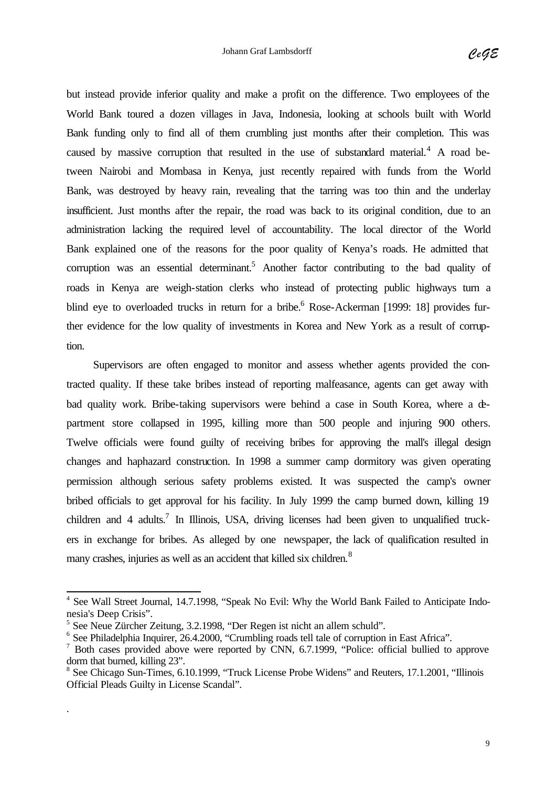but instead provide inferior quality and make a profit on the difference. Two employees of the World Bank toured a dozen villages in Java, Indonesia, looking at schools built with World Bank funding only to find all of them crumbling just months after their completion. This was caused by massive corruption that resulted in the use of substandard material. $4$  A road between Nairobi and Mombasa in Kenya, just recently repaired with funds from the World Bank, was destroyed by heavy rain, revealing that the tarring was too thin and the underlay insufficient. Just months after the repair, the road was back to its original condition, due to an administration lacking the required level of accountability. The local director of the World Bank explained one of the reasons for the poor quality of Kenya's roads. He admitted that corruption was an essential determinant.<sup>5</sup> Another factor contributing to the bad quality of roads in Kenya are weigh-station clerks who instead of protecting public highways turn a blind eye to overloaded trucks in return for a bribe.<sup>6</sup> Rose-Ackerman [1999: 18] provides further evidence for the low quality of investments in Korea and New York as a result of corruption.

Supervisors are often engaged to monitor and assess whether agents provided the contracted quality. If these take bribes instead of reporting malfeasance, agents can get away with bad quality work. Bribe-taking supervisors were behind a case in South Korea, where a department store collapsed in 1995, killing more than 500 people and injuring 900 others. Twelve officials were found guilty of receiving bribes for approving the mall's illegal design changes and haphazard construction. In 1998 a summer camp dormitory was given operating permission although serious safety problems existed. It was suspected the camp's owner bribed officials to get approval for his facility. In July 1999 the camp burned down, killing 19 children and 4 adults.<sup>7</sup> In Illinois, USA, driving licenses had been given to unqualified truckers in exchange for bribes. As alleged by one newspaper, the lack of qualification resulted in many crashes, injuries as well as an accident that killed six children.<sup>8</sup>

.

 4 See Wall Street Journal, 14.7.1998, "Speak No Evil: Why the World Bank Failed to Anticipate Indonesia's Deep Crisis".

<sup>5</sup> See Neue Zürcher Zeitung, 3.2.1998, "Der Regen ist nicht an allem schuld".

<sup>&</sup>lt;sup>6</sup> See Philadelphia Inquirer, 26.4.2000, "Crumbling roads tell tale of corruption in East Africa".

<sup>&</sup>lt;sup>7</sup> Both cases provided above were reported by CNN, 6.7.1999, "Police: official bullied to approve dorm that burned, killing 23".

<sup>&</sup>lt;sup>8</sup> See Chicago Sun-Times, 6.10.1999, "Truck License Probe Widens" and Reuters, 17.1.2001, "Illinois Official Pleads Guilty in License Scandal".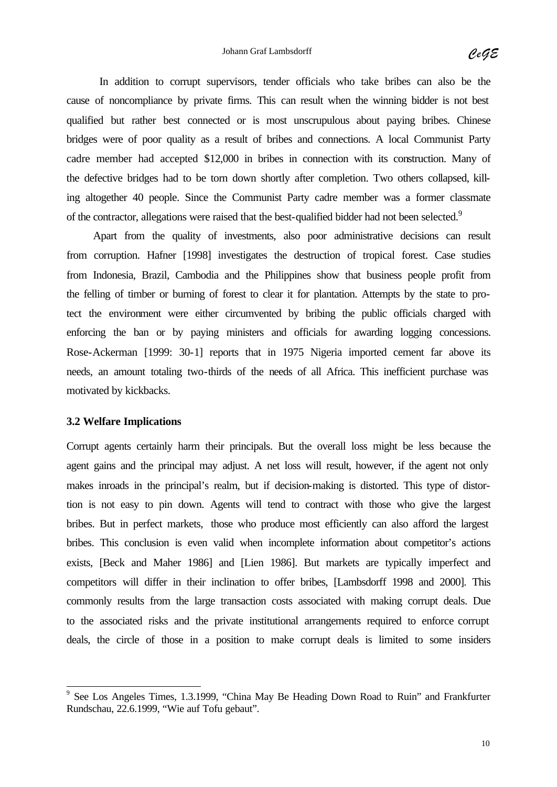In addition to corrupt supervisors, tender officials who take bribes can also be the cause of noncompliance by private firms. This can result when the winning bidder is not best qualified but rather best connected or is most unscrupulous about paying bribes. Chinese bridges were of poor quality as a result of bribes and connections. A local Communist Party cadre member had accepted \$12,000 in bribes in connection with its construction. Many of the defective bridges had to be torn down shortly after completion. Two others collapsed, killing altogether 40 people. Since the Communist Party cadre member was a former classmate of the contractor, allegations were raised that the best-qualified bidder had not been selected.<sup>9</sup>

Apart from the quality of investments, also poor administrative decisions can result from corruption. Hafner [1998] investigates the destruction of tropical forest. Case studies from Indonesia, Brazil, Cambodia and the Philippines show that business people profit from the felling of timber or burning of forest to clear it for plantation. Attempts by the state to protect the environment were either circumvented by bribing the public officials charged with enforcing the ban or by paying ministers and officials for awarding logging concessions. Rose-Ackerman [1999: 30-1] reports that in 1975 Nigeria imported cement far above its needs, an amount totaling two-thirds of the needs of all Africa. This inefficient purchase was motivated by kickbacks.

#### **3.2 Welfare Implications**

Corrupt agents certainly harm their principals. But the overall loss might be less because the agent gains and the principal may adjust. A net loss will result, however, if the agent not only makes inroads in the principal's realm, but if decision-making is distorted. This type of distortion is not easy to pin down. Agents will tend to contract with those who give the largest bribes. But in perfect markets, those who produce most efficiently can also afford the largest bribes. This conclusion is even valid when incomplete information about competitor's actions exists, [Beck and Maher 1986] and [Lien 1986]. But markets are typically imperfect and competitors will differ in their inclination to offer bribes, [Lambsdorff 1998 and 2000]. This commonly results from the large transaction costs associated with making corrupt deals. Due to the associated risks and the private institutional arrangements required to enforce corrupt deals, the circle of those in a position to make corrupt deals is limited to some insiders

<sup>&</sup>lt;sup>9</sup> See Los Angeles Times, 1.3.1999, "China May Be Heading Down Road to Ruin" and Frankfurter Rundschau, 22.6.1999, "Wie auf Tofu gebaut".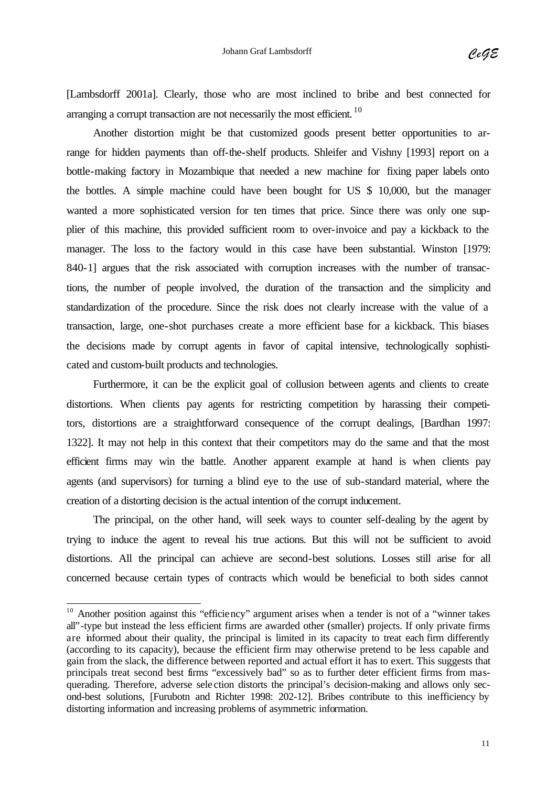[Lambsdorff 2001a]. Clearly, those who are most inclined to bribe and best connected for arranging a corrupt transaction are not necessarily the most efficient.  $10$ 

Another distortion might be that customized goods present better opportunities to arrange for hidden payments than off-the-shelf products. Shleifer and Vishny [1993] report on a bottle-making factory in Mozambique that needed a new machine for fixing paper labels onto the bottles. A simple machine could have been bought for US \$ 10,000, but the manager wanted a more sophisticated version for ten times that price. Since there was only one supplier of this machine, this provided sufficient room to over-invoice and pay a kickback to the manager. The loss to the factory would in this case have been substantial. Winston [1979: 840-1] argues that the risk associated with corruption increases with the number of transactions, the number of people involved, the duration of the transaction and the simplicity and standardization of the procedure. Since the risk does not clearly increase with the value of a transaction, large, one-shot purchases create a more efficient base for a kickback. This biases the decisions made by corrupt agents in favor of capital intensive, technologically sophisticated and custom-built products and technologies.

Furthermore, it can be the explicit goal of collusion between agents and clients to create distortions. When clients pay agents for restricting competition by harassing their competitors, distortions are a straightforward consequence of the corrupt dealings, [Bardhan 1997: 1322]. It may not help in this context that their competitors may do the same and that the most efficient firms may win the battle. Another apparent example at hand is when clients pay agents (and supervisors) for turning a blind eye to the use of sub-standard material, where the creation of a distorting decision is the actual intention of the corrupt inducement.

The principal, on the other hand, will seek ways to counter self-dealing by the agent by trying to induce the agent to reveal his true actions. But this will not be sufficient to avoid distortions. All the principal can achieve are second-best solutions. Losses still arise for all concerned because certain types of contracts which would be beneficial to both sides cannot

 $\overline{\phantom{a}}$ 

 $10$  Another position against this "efficiency" argument arises when a tender is not of a "winner takes" all"-type but instead the less efficient firms are awarded other (smaller) projects. If only private firms are informed about their quality, the principal is limited in its capacity to treat each firm differently (according to its capacity), because the efficient firm may otherwise pretend to be less capable and gain from the slack, the difference between reported and actual effort it has to exert. This suggests that principals treat second best firms "excessively bad" so as to further deter efficient firms from masquerading. Therefore, adverse sele ction distorts the principal's decision-making and allows only second-best solutions, [Furubotn and Richter 1998: 202-12]. Bribes contribute to this inefficiency by distorting information and increasing problems of asymmetric information.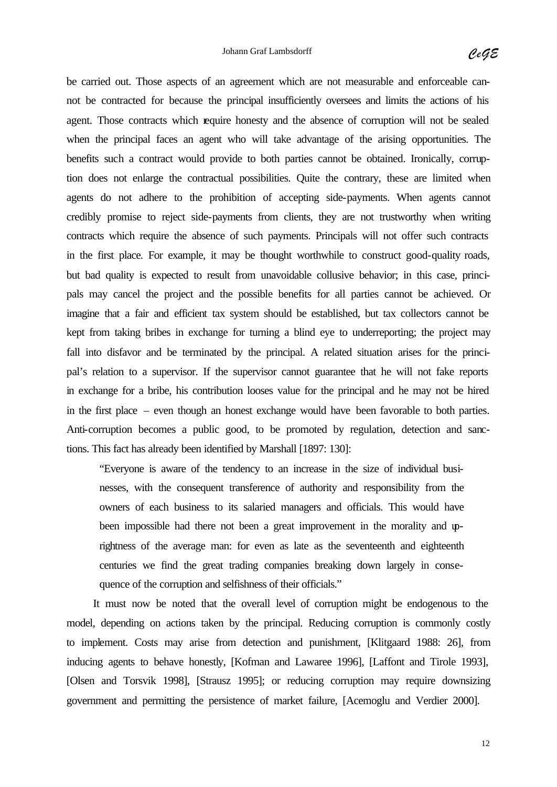be carried out. Those aspects of an agreement which are not measurable and enforceable cannot be contracted for because the principal insufficiently oversees and limits the actions of his agent. Those contracts which require honesty and the absence of corruption will not be sealed when the principal faces an agent who will take advantage of the arising opportunities. The benefits such a contract would provide to both parties cannot be obtained. Ironically, corruption does not enlarge the contractual possibilities. Quite the contrary, these are limited when agents do not adhere to the prohibition of accepting side-payments. When agents cannot credibly promise to reject side-payments from clients, they are not trustworthy when writing contracts which require the absence of such payments. Principals will not offer such contracts in the first place. For example, it may be thought worthwhile to construct good-quality roads, but bad quality is expected to result from unavoidable collusive behavior; in this case, principals may cancel the project and the possible benefits for all parties cannot be achieved. Or imagine that a fair and efficient tax system should be established, but tax collectors cannot be kept from taking bribes in exchange for turning a blind eye to underreporting; the project may fall into disfavor and be terminated by the principal. A related situation arises for the principal's relation to a supervisor. If the supervisor cannot guarantee that he will not fake reports in exchange for a bribe, his contribution looses value for the principal and he may not be hired in the first place – even though an honest exchange would have been favorable to both parties. Anti-corruption becomes a public good, to be promoted by regulation, detection and sanctions. This fact has already been identified by Marshall [1897: 130]:

"Everyone is aware of the tendency to an increase in the size of individual businesses, with the consequent transference of authority and responsibility from the owners of each business to its salaried managers and officials. This would have been impossible had there not been a great improvement in the morality and uprightness of the average man: for even as late as the seventeenth and eighteenth centuries we find the great trading companies breaking down largely in consequence of the corruption and selfishness of their officials."

It must now be noted that the overall level of corruption might be endogenous to the model, depending on actions taken by the principal. Reducing corruption is commonly costly to implement. Costs may arise from detection and punishment, [Klitgaard 1988: 26], from inducing agents to behave honestly, [Kofman and Lawaree 1996], [Laffont and Tirole 1993], [Olsen and Torsvik 1998], [Strausz 1995]; or reducing corruption may require downsizing government and permitting the persistence of market failure, [Acemoglu and Verdier 2000].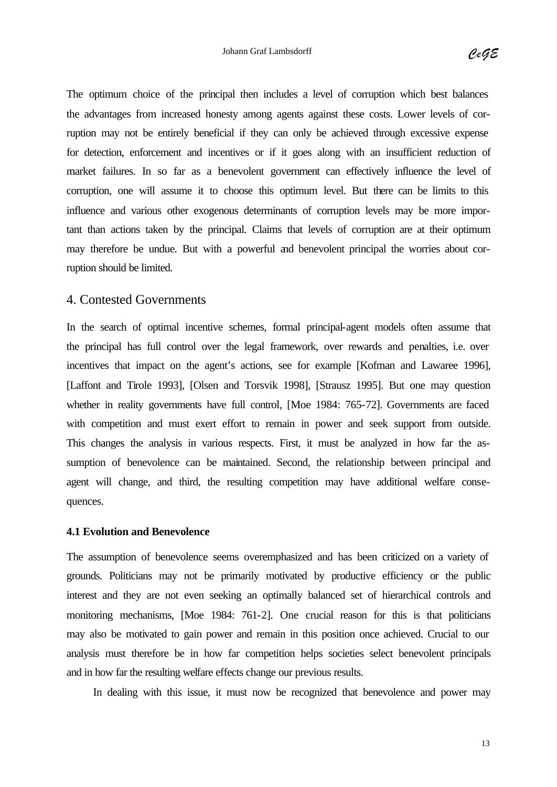The optimum choice of the principal then includes a level of corruption which best balances the advantages from increased honesty among agents against these costs. Lower levels of corruption may not be entirely beneficial if they can only be achieved through excessive expense for detection, enforcement and incentives or if it goes along with an insufficient reduction of market failures. In so far as a benevolent government can effectively influence the level of corruption, one will assume it to choose this optimum level. But there can be limits to this influence and various other exogenous determinants of corruption levels may be more important than actions taken by the principal. Claims that levels of corruption are at their optimum may therefore be undue. But with a powerful and benevolent principal the worries about corruption should be limited.

#### 4. Contested Governments

In the search of optimal incentive schemes, formal principal-agent models often assume that the principal has full control over the legal framework, over rewards and penalties, i.e. over incentives that impact on the agent's actions, see for example [Kofman and Lawaree 1996], [Laffont and Tirole 1993], [Olsen and Torsvik 1998], [Strausz 1995]. But one may question whether in reality governments have full control, [Moe 1984: 765-72]. Governments are faced with competition and must exert effort to remain in power and seek support from outside. This changes the analysis in various respects. First, it must be analyzed in how far the assumption of benevolence can be maintained. Second, the relationship between principal and agent will change, and third, the resulting competition may have additional welfare consequences.

#### **4.1 Evolution and Benevolence**

The assumption of benevolence seems overemphasized and has been criticized on a variety of grounds. Politicians may not be primarily motivated by productive efficiency or the public interest and they are not even seeking an optimally balanced set of hierarchical controls and monitoring mechanisms, [Moe 1984: 761-2]. One crucial reason for this is that politicians may also be motivated to gain power and remain in this position once achieved. Crucial to our analysis must therefore be in how far competition helps societies select benevolent principals and in how far the resulting welfare effects change our previous results.

In dealing with this issue, it must now be recognized that benevolence and power may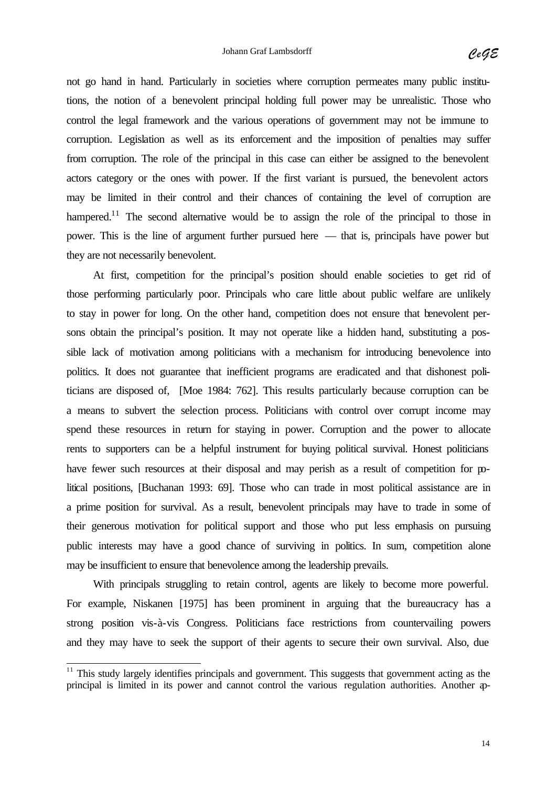not go hand in hand. Particularly in societies where corruption permeates many public institutions, the notion of a benevolent principal holding full power may be unrealistic. Those who control the legal framework and the various operations of government may not be immune to corruption. Legislation as well as its enforcement and the imposition of penalties may suffer from corruption. The role of the principal in this case can either be assigned to the benevolent actors category or the ones with power. If the first variant is pursued, the benevolent actors may be limited in their control and their chances of containing the level of corruption are hampered.<sup>11</sup> The second alternative would be to assign the role of the principal to those in power. This is the line of argument further pursued here — that is, principals have power but they are not necessarily benevolent.

At first, competition for the principal's position should enable societies to get rid of those performing particularly poor. Principals who care little about public welfare are unlikely to stay in power for long. On the other hand, competition does not ensure that benevolent persons obtain the principal's position. It may not operate like a hidden hand, substituting a possible lack of motivation among politicians with a mechanism for introducing benevolence into politics. It does not guarantee that inefficient programs are eradicated and that dishonest politicians are disposed of, [Moe 1984: 762]. This results particularly because corruption can be a means to subvert the selection process. Politicians with control over corrupt income may spend these resources in return for staying in power. Corruption and the power to allocate rents to supporters can be a helpful instrument for buying political survival. Honest politicians have fewer such resources at their disposal and may perish as a result of competition for political positions, [Buchanan 1993: 69]. Those who can trade in most political assistance are in a prime position for survival. As a result, benevolent principals may have to trade in some of their generous motivation for political support and those who put less emphasis on pursuing public interests may have a good chance of surviving in politics. In sum, competition alone may be insufficient to ensure that benevolence among the leadership prevails.

With principals struggling to retain control, agents are likely to become more powerful. For example, Niskanen [1975] has been prominent in arguing that the bureaucracy has a strong position vis-à-vis Congress. Politicians face restrictions from countervailing powers and they may have to seek the support of their agents to secure their own survival. Also, due

 $\overline{\phantom{a}}$ 

 $11$  This study largely identifies principals and government. This suggests that government acting as the principal is limited in its power and cannot control the various regulation authorities. Another ap-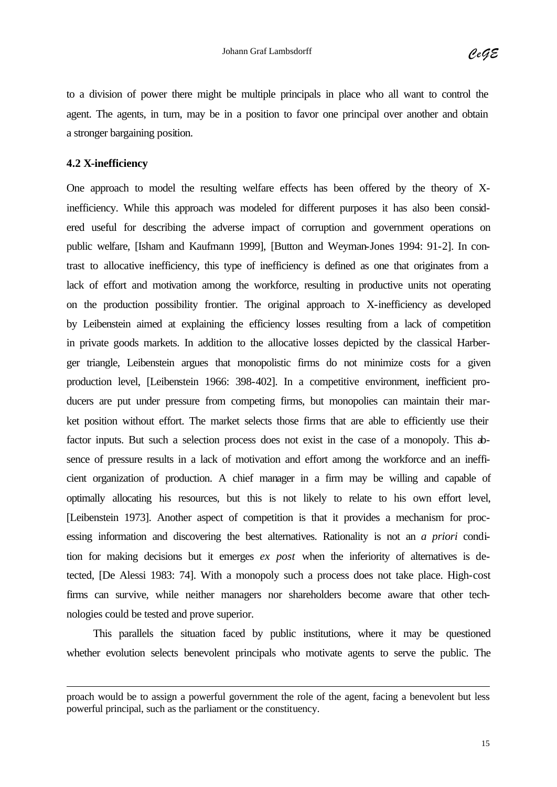to a division of power there might be multiple principals in place who all want to control the agent. The agents, in turn, may be in a position to favor one principal over another and obtain a stronger bargaining position.

#### **4.2 X-inefficiency**

l

One approach to model the resulting welfare effects has been offered by the theory of Xinefficiency. While this approach was modeled for different purposes it has also been considered useful for describing the adverse impact of corruption and government operations on public welfare, [Isham and Kaufmann 1999], [Button and Weyman-Jones 1994: 91-2]. In contrast to allocative inefficiency, this type of inefficiency is defined as one that originates from a lack of effort and motivation among the workforce, resulting in productive units not operating on the production possibility frontier. The original approach to X-inefficiency as developed by Leibenstein aimed at explaining the efficiency losses resulting from a lack of competition in private goods markets. In addition to the allocative losses depicted by the classical Harberger triangle, Leibenstein argues that monopolistic firms do not minimize costs for a given production level, [Leibenstein 1966: 398-402]. In a competitive environment, inefficient producers are put under pressure from competing firms, but monopolies can maintain their market position without effort. The market selects those firms that are able to efficiently use their factor inputs. But such a selection process does not exist in the case of a monopoly. This absence of pressure results in a lack of motivation and effort among the workforce and an inefficient organization of production. A chief manager in a firm may be willing and capable of optimally allocating his resources, but this is not likely to relate to his own effort level, [Leibenstein 1973]. Another aspect of competition is that it provides a mechanism for processing information and discovering the best alternatives. Rationality is not an *a priori* condition for making decisions but it emerges *ex post* when the inferiority of alternatives is detected, [De Alessi 1983: 74]. With a monopoly such a process does not take place. High-cost firms can survive, while neither managers nor shareholders become aware that other technologies could be tested and prove superior.

This parallels the situation faced by public institutions, where it may be questioned whether evolution selects benevolent principals who motivate agents to serve the public. The

proach would be to assign a powerful government the role of the agent, facing a benevolent but less powerful principal, such as the parliament or the constituency.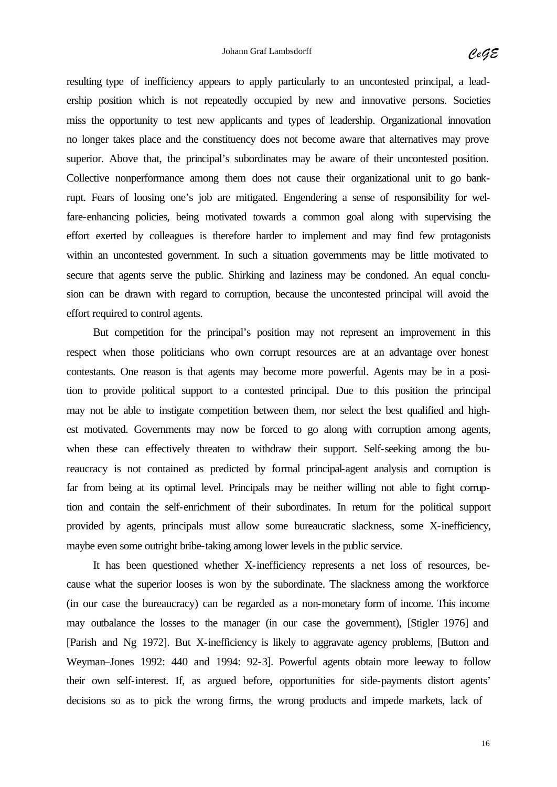resulting type of inefficiency appears to apply particularly to an uncontested principal, a leadership position which is not repeatedly occupied by new and innovative persons. Societies miss the opportunity to test new applicants and types of leadership. Organizational innovation no longer takes place and the constituency does not become aware that alternatives may prove superior. Above that, the principal's subordinates may be aware of their uncontested position. Collective nonperformance among them does not cause their organizational unit to go bankrupt. Fears of loosing one's job are mitigated. Engendering a sense of responsibility for welfare-enhancing policies, being motivated towards a common goal along with supervising the effort exerted by colleagues is therefore harder to implement and may find few protagonists within an uncontested government. In such a situation governments may be little motivated to secure that agents serve the public. Shirking and laziness may be condoned. An equal conclusion can be drawn with regard to corruption, because the uncontested principal will avoid the effort required to control agents.

But competition for the principal's position may not represent an improvement in this respect when those politicians who own corrupt resources are at an advantage over honest contestants. One reason is that agents may become more powerful. Agents may be in a position to provide political support to a contested principal. Due to this position the principal may not be able to instigate competition between them, nor select the best qualified and highest motivated. Governments may now be forced to go along with corruption among agents, when these can effectively threaten to withdraw their support. Self-seeking among the bureaucracy is not contained as predicted by formal principal-agent analysis and corruption is far from being at its optimal level. Principals may be neither willing not able to fight corruption and contain the self-enrichment of their subordinates. In return for the political support provided by agents, principals must allow some bureaucratic slackness, some X-inefficiency, maybe even some outright bribe-taking among lower levels in the public service.

It has been questioned whether X-inefficiency represents a net loss of resources, because what the superior looses is won by the subordinate. The slackness among the workforce (in our case the bureaucracy) can be regarded as a non-monetary form of income. This income may outbalance the losses to the manager (in our case the government), [Stigler 1976] and [Parish and Ng 1972]. But X-inefficiency is likely to aggravate agency problems, [Button and Weyman–Jones 1992: 440 and 1994: 92-3]. Powerful agents obtain more leeway to follow their own self-interest. If, as argued before, opportunities for side-payments distort agents' decisions so as to pick the wrong firms, the wrong products and impede markets, lack of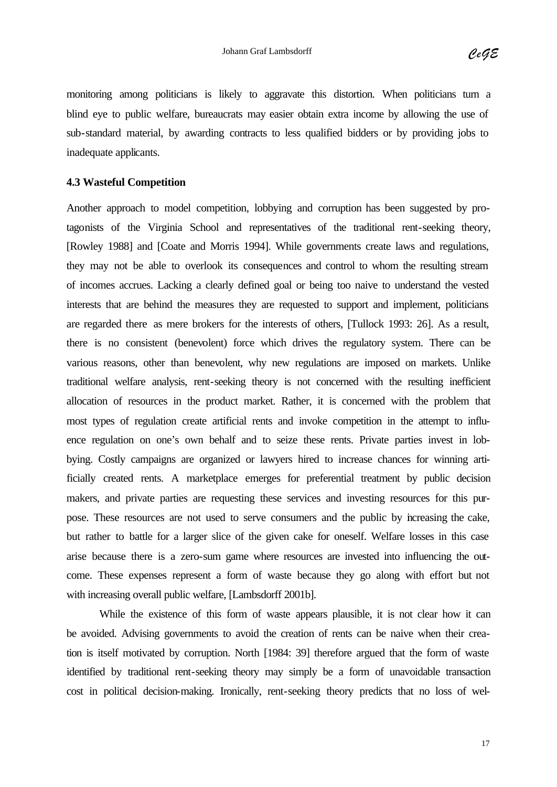monitoring among politicians is likely to aggravate this distortion. When politicians turn a blind eye to public welfare, bureaucrats may easier obtain extra income by allowing the use of sub-standard material, by awarding contracts to less qualified bidders or by providing jobs to inadequate applicants.

#### **4.3 Wasteful Competition**

Another approach to model competition, lobbying and corruption has been suggested by protagonists of the Virginia School and representatives of the traditional rent-seeking theory, [Rowley 1988] and [Coate and Morris 1994]. While governments create laws and regulations, they may not be able to overlook its consequences and control to whom the resulting stream of incomes accrues. Lacking a clearly defined goal or being too naive to understand the vested interests that are behind the measures they are requested to support and implement, politicians are regarded there as mere brokers for the interests of others, [Tullock 1993: 26]. As a result, there is no consistent (benevolent) force which drives the regulatory system. There can be various reasons, other than benevolent, why new regulations are imposed on markets. Unlike traditional welfare analysis, rent-seeking theory is not concerned with the resulting inefficient allocation of resources in the product market. Rather, it is concerned with the problem that most types of regulation create artificial rents and invoke competition in the attempt to influence regulation on one's own behalf and to seize these rents. Private parties invest in lobbying. Costly campaigns are organized or lawyers hired to increase chances for winning artificially created rents. A marketplace emerges for preferential treatment by public decision makers, and private parties are requesting these services and investing resources for this purpose. These resources are not used to serve consumers and the public by increasing the cake, but rather to battle for a larger slice of the given cake for oneself. Welfare losses in this case arise because there is a zero-sum game where resources are invested into influencing the outcome. These expenses represent a form of waste because they go along with effort but not with increasing overall public welfare, [Lambsdorff 2001b].

While the existence of this form of waste appears plausible, it is not clear how it can be avoided. Advising governments to avoid the creation of rents can be naive when their creation is itself motivated by corruption. North [1984: 39] therefore argued that the form of waste identified by traditional rent-seeking theory may simply be a form of unavoidable transaction cost in political decision-making. Ironically, rent-seeking theory predicts that no loss of wel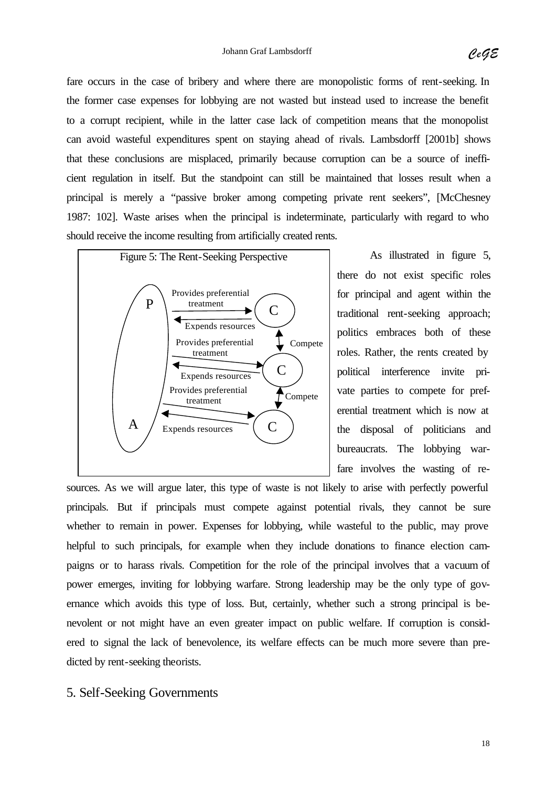fare occurs in the case of bribery and where there are monopolistic forms of rent-seeking. In the former case expenses for lobbying are not wasted but instead used to increase the benefit to a corrupt recipient, while in the latter case lack of competition means that the monopolist can avoid wasteful expenditures spent on staying ahead of rivals. Lambsdorff [2001b] shows that these conclusions are misplaced, primarily because corruption can be a source of inefficient regulation in itself. But the standpoint can still be maintained that losses result when a principal is merely a "passive broker among competing private rent seekers", [McChesney 1987: 102]. Waste arises when the principal is indeterminate, particularly with regard to who should receive the income resulting from artificially created rents.



As illustrated in figure 5, there do not exist specific roles for principal and agent within the traditional rent-seeking approach; politics embraces both of these roles. Rather, the rents created by political interference invite private parties to compete for preferential treatment which is now at the disposal of politicians and bureaucrats. The lobbying warfare involves the wasting of re-

sources. As we will argue later, this type of waste is not likely to arise with perfectly powerful principals. But if principals must compete against potential rivals, they cannot be sure whether to remain in power. Expenses for lobbying, while wasteful to the public, may prove helpful to such principals, for example when they include donations to finance election campaigns or to harass rivals. Competition for the role of the principal involves that a vacuum of power emerges, inviting for lobbying warfare. Strong leadership may be the only type of governance which avoids this type of loss. But, certainly, whether such a strong principal is benevolent or not might have an even greater impact on public welfare. If corruption is considered to signal the lack of benevolence, its welfare effects can be much more severe than predicted by rent-seeking theorists.

#### 5. Self-Seeking Governments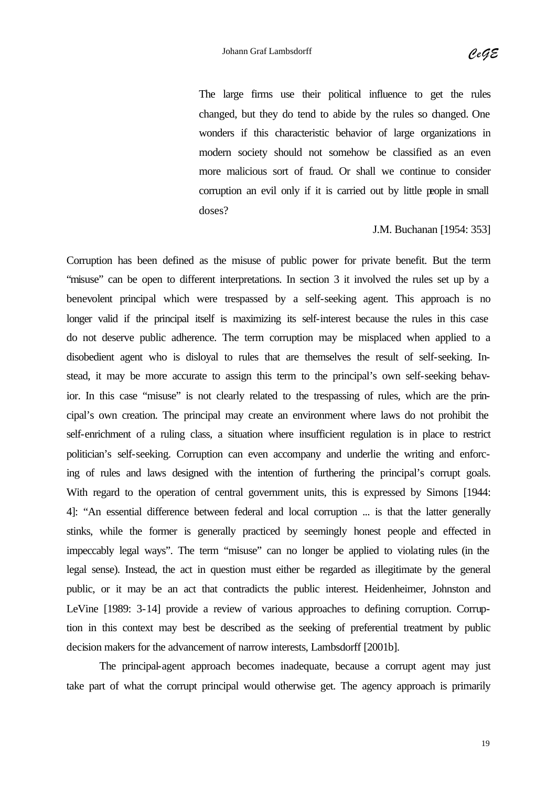The large firms use their political influence to get the rules changed, but they do tend to abide by the rules so changed. One wonders if this characteristic behavior of large organizations in modern society should not somehow be classified as an even more malicious sort of fraud. Or shall we continue to consider corruption an evil only if it is carried out by little people in small doses?

J.M. Buchanan [1954: 353]

Corruption has been defined as the misuse of public power for private benefit. But the term "misuse" can be open to different interpretations. In section 3 it involved the rules set up by a benevolent principal which were trespassed by a self-seeking agent. This approach is no longer valid if the principal itself is maximizing its self-interest because the rules in this case do not deserve public adherence. The term corruption may be misplaced when applied to a disobedient agent who is disloyal to rules that are themselves the result of self-seeking. Instead, it may be more accurate to assign this term to the principal's own self-seeking behavior. In this case "misuse" is not clearly related to the trespassing of rules, which are the principal's own creation. The principal may create an environment where laws do not prohibit the self-enrichment of a ruling class, a situation where insufficient regulation is in place to restrict politician's self-seeking. Corruption can even accompany and underlie the writing and enforcing of rules and laws designed with the intention of furthering the principal's corrupt goals. With regard to the operation of central government units, this is expressed by Simons [1944: 4]: "An essential difference between federal and local corruption ... is that the latter generally stinks, while the former is generally practiced by seemingly honest people and effected in impeccably legal ways". The term "misuse" can no longer be applied to violating rules (in the legal sense). Instead, the act in question must either be regarded as illegitimate by the general public, or it may be an act that contradicts the public interest. Heidenheimer, Johnston and LeVine [1989: 3-14] provide a review of various approaches to defining corruption. Corruption in this context may best be described as the seeking of preferential treatment by public decision makers for the advancement of narrow interests, Lambsdorff [2001b].

The principal-agent approach becomes inadequate, because a corrupt agent may just take part of what the corrupt principal would otherwise get. The agency approach is primarily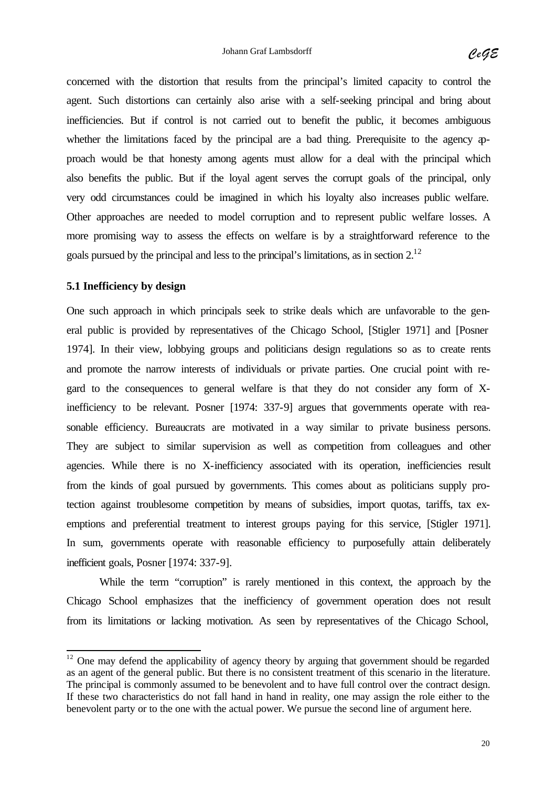concerned with the distortion that results from the principal's limited capacity to control the agent. Such distortions can certainly also arise with a self-seeking principal and bring about inefficiencies. But if control is not carried out to benefit the public, it becomes ambiguous whether the limitations faced by the principal are a bad thing. Prerequisite to the agency  $\varphi$ proach would be that honesty among agents must allow for a deal with the principal which also benefits the public. But if the loyal agent serves the corrupt goals of the principal, only very odd circumstances could be imagined in which his loyalty also increases public welfare. Other approaches are needed to model corruption and to represent public welfare losses. A more promising way to assess the effects on welfare is by a straightforward reference to the goals pursued by the principal and less to the principal's limitations, as in section 2.<sup>12</sup>

#### **5.1 Inefficiency by design**

 $\overline{\phantom{a}}$ 

One such approach in which principals seek to strike deals which are unfavorable to the general public is provided by representatives of the Chicago School, [Stigler 1971] and [Posner 1974]. In their view, lobbying groups and politicians design regulations so as to create rents and promote the narrow interests of individuals or private parties. One crucial point with regard to the consequences to general welfare is that they do not consider any form of Xinefficiency to be relevant. Posner [1974: 337-9] argues that governments operate with reasonable efficiency. Bureaucrats are motivated in a way similar to private business persons. They are subject to similar supervision as well as competition from colleagues and other agencies. While there is no X-inefficiency associated with its operation, inefficiencies result from the kinds of goal pursued by governments. This comes about as politicians supply protection against troublesome competition by means of subsidies, import quotas, tariffs, tax exemptions and preferential treatment to interest groups paying for this service, [Stigler 1971]. In sum, governments operate with reasonable efficiency to purposefully attain deliberately inefficient goals, Posner [1974: 337-9].

While the term "corruption" is rarely mentioned in this context, the approach by the Chicago School emphasizes that the inefficiency of government operation does not result from its limitations or lacking motivation. As seen by representatives of the Chicago School,

 $12$  One may defend the applicability of agency theory by arguing that government should be regarded as an agent of the general public. But there is no consistent treatment of this scenario in the literature. The principal is commonly assumed to be benevolent and to have full control over the contract design. If these two characteristics do not fall hand in hand in reality, one may assign the role either to the benevolent party or to the one with the actual power. We pursue the second line of argument here.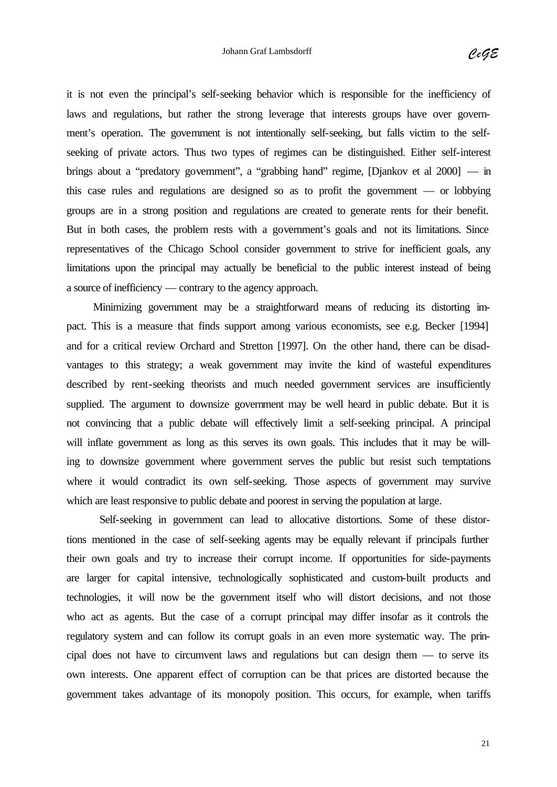it is not even the principal's self-seeking behavior which is responsible for the inefficiency of laws and regulations, but rather the strong leverage that interests groups have over government's operation. The government is not intentionally self-seeking, but falls victim to the selfseeking of private actors. Thus two types of regimes can be distinguished. Either self-interest brings about a "predatory government", a "grabbing hand" regime, [Djankov et al 2000] — in this case rules and regulations are designed so as to profit the government — or lobbying groups are in a strong position and regulations are created to generate rents for their benefit. But in both cases, the problem rests with a government's goals and not its limitations. Since representatives of the Chicago School consider government to strive for inefficient goals, any limitations upon the principal may actually be beneficial to the public interest instead of being a source of inefficiency — contrary to the agency approach.

Minimizing government may be a straightforward means of reducing its distorting impact. This is a measure that finds support among various economists, see e.g. Becker [1994] and for a critical review Orchard and Stretton [1997]. On the other hand, there can be disadvantages to this strategy; a weak government may invite the kind of wasteful expenditures described by rent-seeking theorists and much needed government services are insufficiently supplied. The argument to downsize government may be well heard in public debate. But it is not convincing that a public debate will effectively limit a self-seeking principal. A principal will inflate government as long as this serves its own goals. This includes that it may be willing to downsize government where government serves the public but resist such temptations where it would contradict its own self-seeking. Those aspects of government may survive which are least responsive to public debate and poorest in serving the population at large.

Self-seeking in government can lead to allocative distortions. Some of these distortions mentioned in the case of self-seeking agents may be equally relevant if principals further their own goals and try to increase their corrupt income. If opportunities for side-payments are larger for capital intensive, technologically sophisticated and custom-built products and technologies, it will now be the government itself who will distort decisions, and not those who act as agents. But the case of a corrupt principal may differ insofar as it controls the regulatory system and can follow its corrupt goals in an even more systematic way. The principal does not have to circumvent laws and regulations but can design them — to serve its own interests. One apparent effect of corruption can be that prices are distorted because the government takes advantage of its monopoly position. This occurs, for example, when tariffs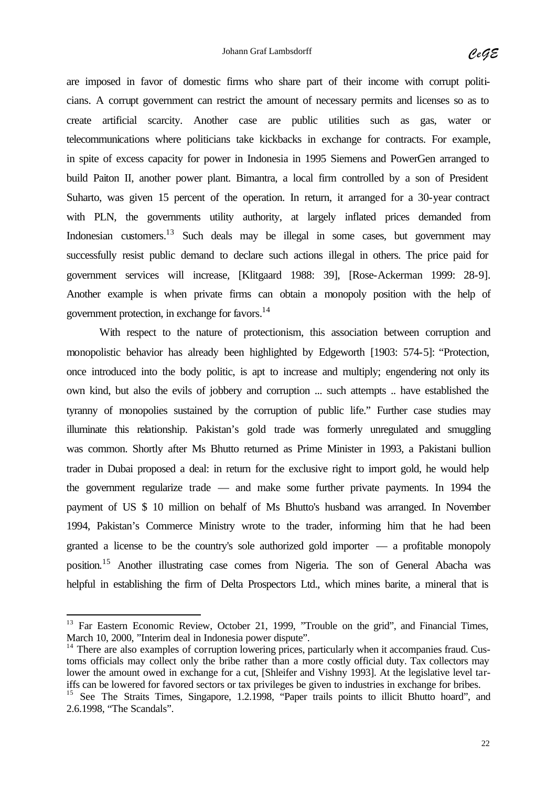are imposed in favor of domestic firms who share part of their income with corrupt politicians. A corrupt government can restrict the amount of necessary permits and licenses so as to create artificial scarcity. Another case are public utilities such as gas, water or telecommunications where politicians take kickbacks in exchange for contracts. For example, in spite of excess capacity for power in Indonesia in 1995 Siemens and PowerGen arranged to build Paiton II, another power plant. Bimantra, a local firm controlled by a son of President Suharto, was given 15 percent of the operation. In return, it arranged for a 30-year contract with PLN, the governments utility authority, at largely inflated prices demanded from Indonesian customers.<sup>13</sup> Such deals may be illegal in some cases, but government may successfully resist public demand to declare such actions illegal in others. The price paid for government services will increase, [Klitgaard 1988: 39], [Rose-Ackerman 1999: 28-9]. Another example is when private firms can obtain a monopoly position with the help of government protection, in exchange for favors.<sup>14</sup>

With respect to the nature of protectionism, this association between corruption and monopolistic behavior has already been highlighted by Edgeworth [1903: 574-5]: "Protection, once introduced into the body politic, is apt to increase and multiply; engendering not only its own kind, but also the evils of jobbery and corruption ... such attempts .. have established the tyranny of monopolies sustained by the corruption of public life." Further case studies may illuminate this relationship. Pakistan's gold trade was formerly unregulated and smuggling was common. Shortly after Ms Bhutto returned as Prime Minister in 1993, a Pakistani bullion trader in Dubai proposed a deal: in return for the exclusive right to import gold, he would help the government regularize trade — and make some further private payments. In 1994 the payment of US \$ 10 million on behalf of Ms Bhutto's husband was arranged. In November 1994, Pakistan's Commerce Ministry wrote to the trader, informing him that he had been granted a license to be the country's sole authorized gold importer — a profitable monopoly position.<sup>15</sup> Another illustrating case comes from Nigeria. The son of General Abacha was helpful in establishing the firm of Delta Prospectors Ltd., which mines barite, a mineral that is

l

<sup>&</sup>lt;sup>13</sup> Far Eastern Economic Review, October 21, 1999, "Trouble on the grid", and Financial Times, March 10, 2000, "Interim deal in Indonesia power dispute".

 $14$  There are also examples of corruption lowering prices, particularly when it accompanies fraud. Customs officials may collect only the bribe rather than a more costly official duty. Tax collectors may lower the amount owed in exchange for a cut, [Shleifer and Vishny 1993]. At the legislative level tariffs can be lowered for favored sectors or tax privileges be given to industries in exchange for bribes.

<sup>&</sup>lt;sup>15</sup> See The Straits Times, Singapore, 1.2.1998, "Paper trails points to illicit Bhutto hoard", and 2.6.1998, "The Scandals".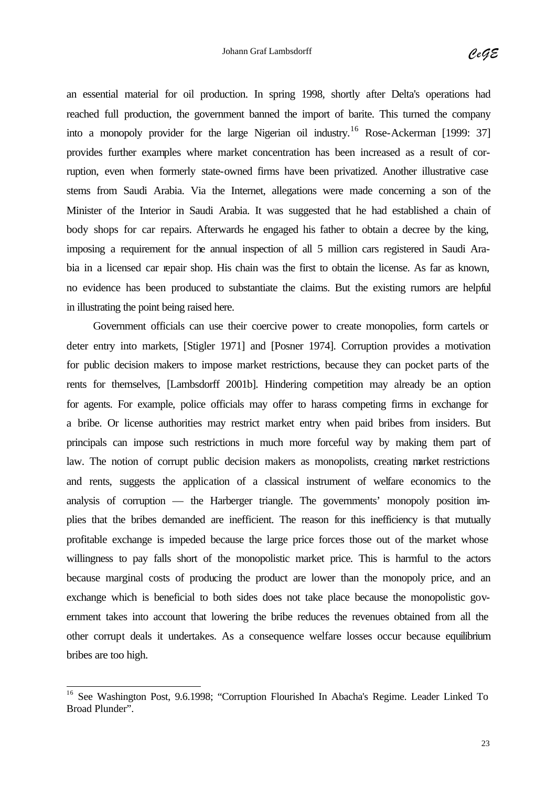an essential material for oil production. In spring 1998, shortly after Delta's operations had reached full production, the government banned the import of barite. This turned the company into a monopoly provider for the large Nigerian oil industry.<sup>16</sup> Rose-Ackerman [1999: 37] provides further examples where market concentration has been increased as a result of corruption, even when formerly state-owned firms have been privatized. Another illustrative case stems from Saudi Arabia. Via the Internet, allegations were made concerning a son of the Minister of the Interior in Saudi Arabia. It was suggested that he had established a chain of body shops for car repairs. Afterwards he engaged his father to obtain a decree by the king, imposing a requirement for the annual inspection of all 5 million cars registered in Saudi Arabia in a licensed car repair shop. His chain was the first to obtain the license. As far as known, no evidence has been produced to substantiate the claims. But the existing rumors are helpful in illustrating the point being raised here.

Government officials can use their coercive power to create monopolies, form cartels or deter entry into markets, [Stigler 1971] and [Posner 1974]. Corruption provides a motivation for public decision makers to impose market restrictions, because they can pocket parts of the rents for themselves, [Lambsdorff 2001b]. Hindering competition may already be an option for agents. For example, police officials may offer to harass competing firms in exchange for a bribe. Or license authorities may restrict market entry when paid bribes from insiders. But principals can impose such restrictions in much more forceful way by making them part of law. The notion of corrupt public decision makers as monopolists, creating market restrictions and rents, suggests the application of a classical instrument of welfare economics to the analysis of corruption — the Harberger triangle. The governments' monopoly position implies that the bribes demanded are inefficient. The reason for this inefficiency is that mutually profitable exchange is impeded because the large price forces those out of the market whose willingness to pay falls short of the monopolistic market price. This is harmful to the actors because marginal costs of producing the product are lower than the monopoly price, and an exchange which is beneficial to both sides does not take place because the monopolistic government takes into account that lowering the bribe reduces the revenues obtained from all the other corrupt deals it undertakes. As a consequence welfare losses occur because equilibrium bribes are too high.

 $\overline{\phantom{a}}$ 

<sup>&</sup>lt;sup>16</sup> See Washington Post, 9.6.1998; "Corruption Flourished In Abacha's Regime. Leader Linked To Broad Plunder".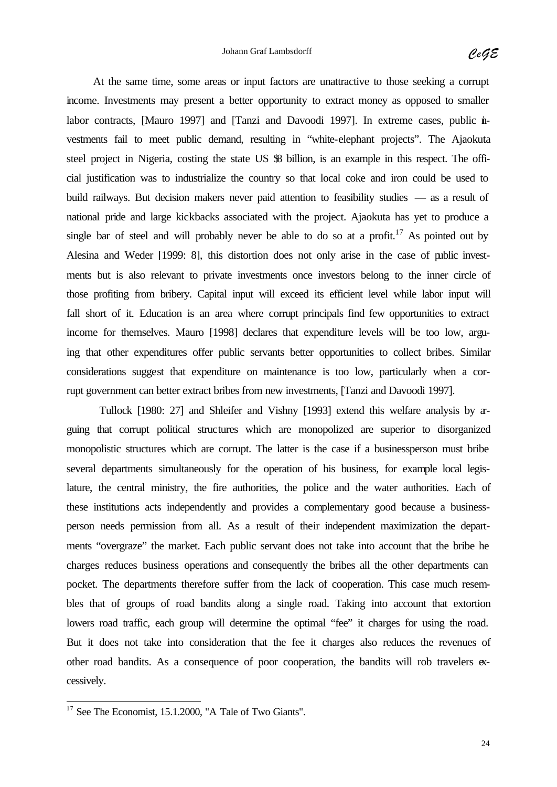At the same time, some areas or input factors are unattractive to those seeking a corrupt income. Investments may present a better opportunity to extract money as opposed to smaller labor contracts, [Mauro 1997] and [Tanzi and Davoodi 1997]. In extreme cases, public investments fail to meet public demand, resulting in "white-elephant projects". The Ajaokuta steel project in Nigeria, costing the state US  $\%$  billion, is an example in this respect. The official justification was to industrialize the country so that local coke and iron could be used to build railways. But decision makers never paid attention to feasibility studies — as a result of national pride and large kickbacks associated with the project. Ajaokuta has yet to produce a single bar of steel and will probably never be able to do so at a profit.<sup>17</sup> As pointed out by Alesina and Weder [1999: 8], this distortion does not only arise in the case of public investments but is also relevant to private investments once investors belong to the inner circle of those profiting from bribery. Capital input will exceed its efficient level while labor input will fall short of it. Education is an area where corrupt principals find few opportunities to extract income for themselves. Mauro [1998] declares that expenditure levels will be too low, arguing that other expenditures offer public servants better opportunities to collect bribes. Similar considerations suggest that expenditure on maintenance is too low, particularly when a corrupt government can better extract bribes from new investments, [Tanzi and Davoodi 1997].

Tullock [1980: 27] and Shleifer and Vishny [1993] extend this welfare analysis by arguing that corrupt political structures which are monopolized are superior to disorganized monopolistic structures which are corrupt. The latter is the case if a businessperson must bribe several departments simultaneously for the operation of his business, for example local legislature, the central ministry, the fire authorities, the police and the water authorities. Each of these institutions acts independently and provides a complementary good because a businessperson needs permission from all. As a result of their independent maximization the departments "overgraze" the market. Each public servant does not take into account that the bribe he charges reduces business operations and consequently the bribes all the other departments can pocket. The departments therefore suffer from the lack of cooperation. This case much resembles that of groups of road bandits along a single road. Taking into account that extortion lowers road traffic, each group will determine the optimal "fee" it charges for using the road. But it does not take into consideration that the fee it charges also reduces the revenues of other road bandits. As a consequence of poor cooperation, the bandits will rob travelers excessively.

 $\overline{\phantom{a}}$ 

 $17$  See The Economist, 15.1.2000, "A Tale of Two Giants".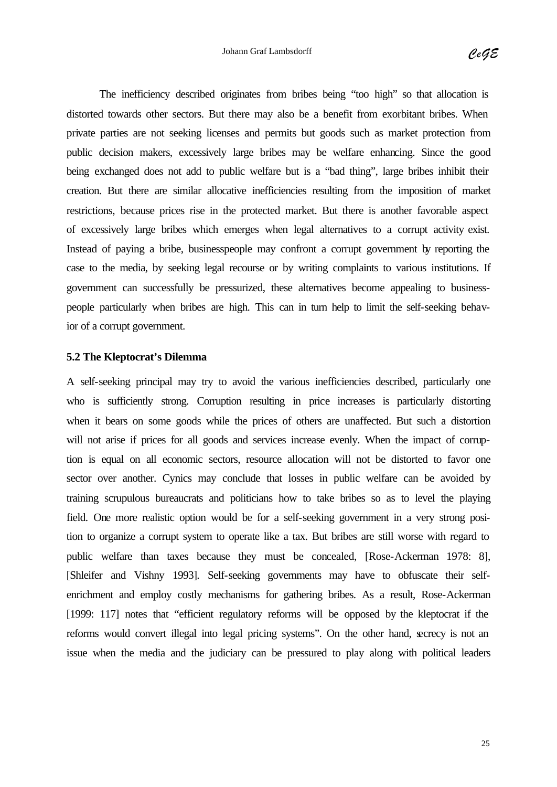The inefficiency described originates from bribes being "too high" so that allocation is distorted towards other sectors. But there may also be a benefit from exorbitant bribes. When private parties are not seeking licenses and permits but goods such as market protection from public decision makers, excessively large bribes may be welfare enhancing. Since the good being exchanged does not add to public welfare but is a "bad thing", large bribes inhibit their creation. But there are similar allocative inefficiencies resulting from the imposition of market restrictions, because prices rise in the protected market. But there is another favorable aspect of excessively large bribes which emerges when legal alternatives to a corrupt activity exist. Instead of paying a bribe, businesspeople may confront a corrupt government by reporting the case to the media, by seeking legal recourse or by writing complaints to various institutions. If government can successfully be pressurized, these alternatives become appealing to businesspeople particularly when bribes are high. This can in turn help to limit the self-seeking behavior of a corrupt government.

#### **5.2 The Kleptocrat's Dilemma**

A self-seeking principal may try to avoid the various inefficiencies described, particularly one who is sufficiently strong. Corruption resulting in price increases is particularly distorting when it bears on some goods while the prices of others are unaffected. But such a distortion will not arise if prices for all goods and services increase evenly. When the impact of corruption is equal on all economic sectors, resource allocation will not be distorted to favor one sector over another. Cynics may conclude that losses in public welfare can be avoided by training scrupulous bureaucrats and politicians how to take bribes so as to level the playing field. One more realistic option would be for a self-seeking government in a very strong position to organize a corrupt system to operate like a tax. But bribes are still worse with regard to public welfare than taxes because they must be concealed, [Rose-Ackerman 1978: 8], [Shleifer and Vishny 1993]. Self-seeking governments may have to obfuscate their selfenrichment and employ costly mechanisms for gathering bribes. As a result, Rose-Ackerman [1999: 117] notes that "efficient regulatory reforms will be opposed by the kleptocrat if the reforms would convert illegal into legal pricing systems". On the other hand, secrecy is not an issue when the media and the judiciary can be pressured to play along with political leaders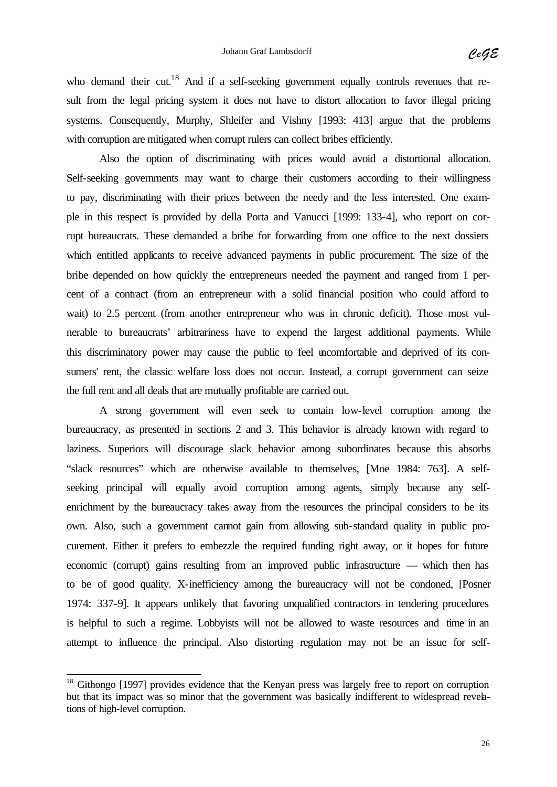who demand their cut.<sup>18</sup> And if a self-seeking government equally controls revenues that result from the legal pricing system it does not have to distort allocation to favor illegal pricing systems. Consequently, Murphy, Shleifer and Vishny [1993: 413] argue that the problems with corruption are mitigated when corrupt rulers can collect bribes efficiently.

Also the option of discriminating with prices would avoid a distortional allocation. Self-seeking governments may want to charge their customers according to their willingness to pay, discriminating with their prices between the needy and the less interested. One example in this respect is provided by della Porta and Vanucci [1999: 133-4], who report on corrupt bureaucrats. These demanded a bribe for forwarding from one office to the next dossiers which entitled applicants to receive advanced payments in public procurement. The size of the bribe depended on how quickly the entrepreneurs needed the payment and ranged from 1 percent of a contract (from an entrepreneur with a solid financial position who could afford to wait) to 2.5 percent (from another entrepreneur who was in chronic deficit). Those most vulnerable to bureaucrats' arbitrariness have to expend the largest additional payments. While this discriminatory power may cause the public to feel uncomfortable and deprived of its consumers' rent, the classic welfare loss does not occur. Instead, a corrupt government can seize the full rent and all deals that are mutually profitable are carried out.

A strong government will even seek to contain low-level corruption among the bureaucracy, as presented in sections 2 and 3. This behavior is already known with regard to laziness. Superiors will discourage slack behavior among subordinates because this absorbs "slack resources" which are otherwise available to themselves, [Moe 1984: 763]. A selfseeking principal will equally avoid corruption among agents, simply because any selfenrichment by the bureaucracy takes away from the resources the principal considers to be its own. Also, such a government cannot gain from allowing sub-standard quality in public procurement. Either it prefers to embezzle the required funding right away, or it hopes for future economic (corrupt) gains resulting from an improved public infrastructure — which then has to be of good quality. X-inefficiency among the bureaucracy will not be condoned, [Posner 1974: 337-9]. It appears unlikely that favoring unqualified contractors in tendering procedures is helpful to such a regime. Lobbyists will not be allowed to waste resources and time in an attempt to influence the principal. Also distorting regulation may not be an issue for self-

 $\overline{\phantom{a}}$ 

<sup>&</sup>lt;sup>18</sup> Githongo [1997] provides evidence that the Kenyan press was largely free to report on corruption but that its impact was so minor that the government was basically indifferent to widespread revelations of high-level corruption.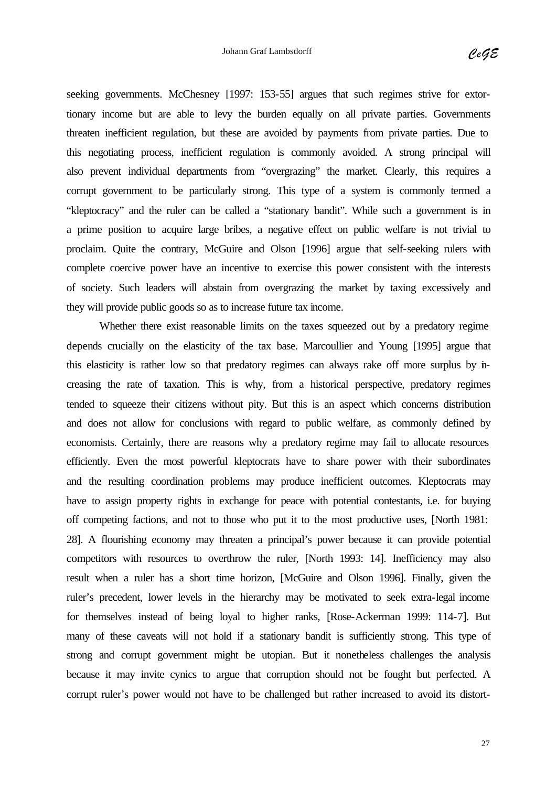seeking governments. McChesney [1997: 153-55] argues that such regimes strive for extortionary income but are able to levy the burden equally on all private parties. Governments threaten inefficient regulation, but these are avoided by payments from private parties. Due to this negotiating process, inefficient regulation is commonly avoided. A strong principal will also prevent individual departments from "overgrazing" the market. Clearly, this requires a corrupt government to be particularly strong. This type of a system is commonly termed a "kleptocracy" and the ruler can be called a "stationary bandit". While such a government is in a prime position to acquire large bribes, a negative effect on public welfare is not trivial to proclaim. Quite the contrary, McGuire and Olson [1996] argue that self-seeking rulers with complete coercive power have an incentive to exercise this power consistent with the interests of society. Such leaders will abstain from overgrazing the market by taxing excessively and they will provide public goods so as to increase future tax income.

Whether there exist reasonable limits on the taxes squeezed out by a predatory regime depends crucially on the elasticity of the tax base. Marcoullier and Young [1995] argue that this elasticity is rather low so that predatory regimes can always rake off more surplus by increasing the rate of taxation. This is why, from a historical perspective, predatory regimes tended to squeeze their citizens without pity. But this is an aspect which concerns distribution and does not allow for conclusions with regard to public welfare, as commonly defined by economists. Certainly, there are reasons why a predatory regime may fail to allocate resources efficiently. Even the most powerful kleptocrats have to share power with their subordinates and the resulting coordination problems may produce inefficient outcomes. Kleptocrats may have to assign property rights in exchange for peace with potential contestants, i.e. for buying off competing factions, and not to those who put it to the most productive uses, [North 1981: 28]. A flourishing economy may threaten a principal's power because it can provide potential competitors with resources to overthrow the ruler, [North 1993: 14]. Inefficiency may also result when a ruler has a short time horizon, [McGuire and Olson 1996]. Finally, given the ruler's precedent, lower levels in the hierarchy may be motivated to seek extra-legal income for themselves instead of being loyal to higher ranks, [Rose-Ackerman 1999: 114-7]. But many of these caveats will not hold if a stationary bandit is sufficiently strong. This type of strong and corrupt government might be utopian. But it nonetheless challenges the analysis because it may invite cynics to argue that corruption should not be fought but perfected. A corrupt ruler's power would not have to be challenged but rather increased to avoid its distort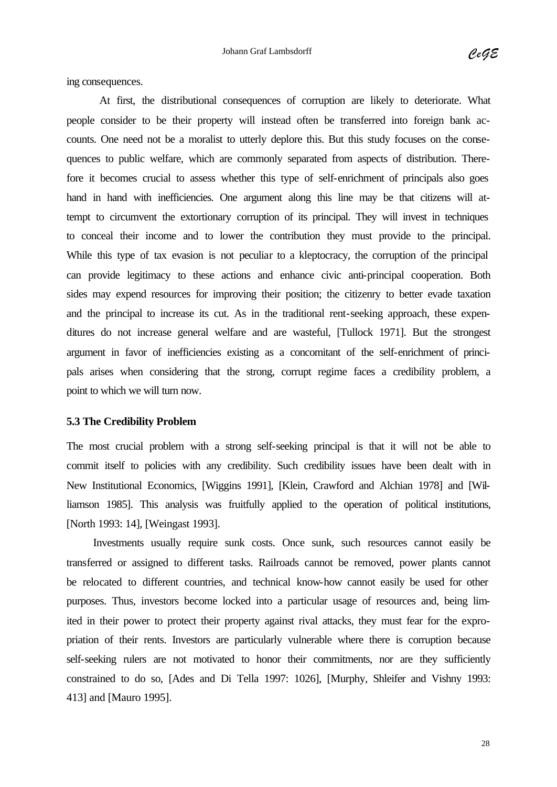ing consequences.

At first, the distributional consequences of corruption are likely to deteriorate. What people consider to be their property will instead often be transferred into foreign bank accounts. One need not be a moralist to utterly deplore this. But this study focuses on the consequences to public welfare, which are commonly separated from aspects of distribution. Therefore it becomes crucial to assess whether this type of self-enrichment of principals also goes hand in hand with inefficiencies. One argument along this line may be that citizens will attempt to circumvent the extortionary corruption of its principal. They will invest in techniques to conceal their income and to lower the contribution they must provide to the principal. While this type of tax evasion is not peculiar to a kleptocracy, the corruption of the principal can provide legitimacy to these actions and enhance civic anti-principal cooperation. Both sides may expend resources for improving their position; the citizenry to better evade taxation and the principal to increase its cut. As in the traditional rent-seeking approach, these expenditures do not increase general welfare and are wasteful, [Tullock 1971]. But the strongest argument in favor of inefficiencies existing as a concomitant of the self-enrichment of principals arises when considering that the strong, corrupt regime faces a credibility problem, a point to which we will turn now.

#### **5.3 The Credibility Problem**

The most crucial problem with a strong self-seeking principal is that it will not be able to commit itself to policies with any credibility. Such credibility issues have been dealt with in New Institutional Economics, [Wiggins 1991], [Klein, Crawford and Alchian 1978] and [Williamson 1985]. This analysis was fruitfully applied to the operation of political institutions, [North 1993: 14], [Weingast 1993].

Investments usually require sunk costs. Once sunk, such resources cannot easily be transferred or assigned to different tasks. Railroads cannot be removed, power plants cannot be relocated to different countries, and technical know-how cannot easily be used for other purposes. Thus, investors become locked into a particular usage of resources and, being limited in their power to protect their property against rival attacks, they must fear for the expropriation of their rents. Investors are particularly vulnerable where there is corruption because self-seeking rulers are not motivated to honor their commitments, nor are they sufficiently constrained to do so, [Ades and Di Tella 1997: 1026], [Murphy, Shleifer and Vishny 1993: 413] and [Mauro 1995].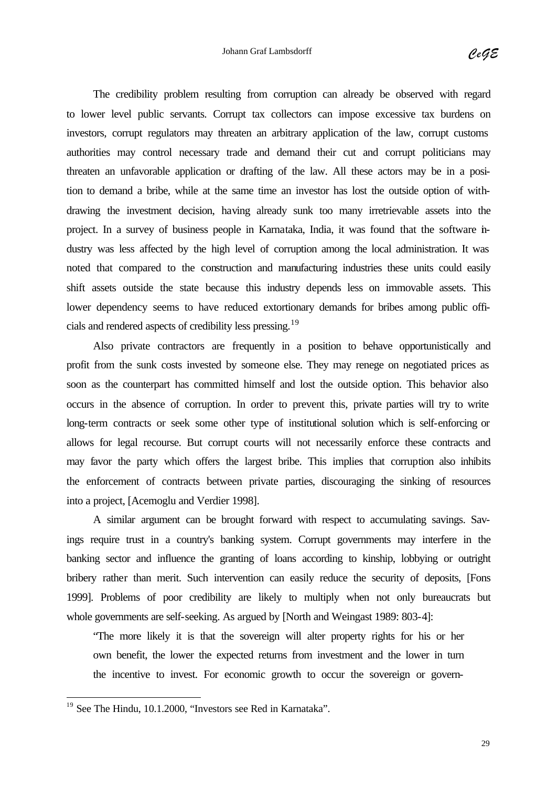The credibility problem resulting from corruption can already be observed with regard to lower level public servants. Corrupt tax collectors can impose excessive tax burdens on investors, corrupt regulators may threaten an arbitrary application of the law, corrupt customs authorities may control necessary trade and demand their cut and corrupt politicians may threaten an unfavorable application or drafting of the law. All these actors may be in a position to demand a bribe, while at the same time an investor has lost the outside option of withdrawing the investment decision, having already sunk too many irretrievable assets into the project. In a survey of business people in Karnataka, India, it was found that the software industry was less affected by the high level of corruption among the local administration. It was noted that compared to the construction and manufacturing industries these units could easily shift assets outside the state because this industry depends less on immovable assets. This lower dependency seems to have reduced extortionary demands for bribes among public officials and rendered aspects of credibility less pressing.<sup>19</sup>

Also private contractors are frequently in a position to behave opportunistically and profit from the sunk costs invested by someone else. They may renege on negotiated prices as soon as the counterpart has committed himself and lost the outside option. This behavior also occurs in the absence of corruption. In order to prevent this, private parties will try to write long-term contracts or seek some other type of institutional solution which is self-enforcing or allows for legal recourse. But corrupt courts will not necessarily enforce these contracts and may favor the party which offers the largest bribe. This implies that corruption also inhibits the enforcement of contracts between private parties, discouraging the sinking of resources into a project, [Acemoglu and Verdier 1998].

A similar argument can be brought forward with respect to accumulating savings. Savings require trust in a country's banking system. Corrupt governments may interfere in the banking sector and influence the granting of loans according to kinship, lobbying or outright bribery rather than merit. Such intervention can easily reduce the security of deposits, [Fons 1999]. Problems of poor credibility are likely to multiply when not only bureaucrats but whole governments are self-seeking. As argued by [North and Weingast 1989: 803-4]:

"The more likely it is that the sovereign will alter property rights for his or her own benefit, the lower the expected returns from investment and the lower in turn the incentive to invest. For economic growth to occur the sovereign or govern-

l

<sup>&</sup>lt;sup>19</sup> See The Hindu, 10.1.2000, "Investors see Red in Karnataka".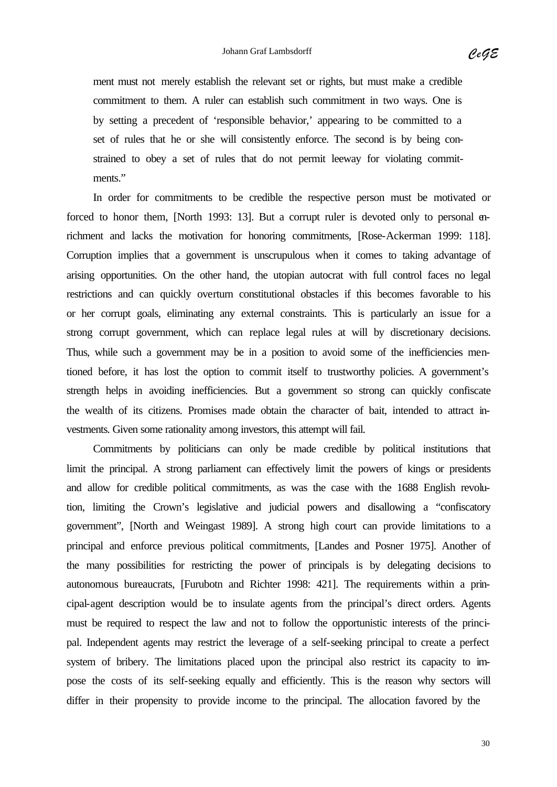ment must not merely establish the relevant set or rights, but must make a credible commitment to them. A ruler can establish such commitment in two ways. One is by setting a precedent of 'responsible behavior,' appearing to be committed to a set of rules that he or she will consistently enforce. The second is by being constrained to obey a set of rules that do not permit leeway for violating commitments."

In order for commitments to be credible the respective person must be motivated or forced to honor them, [North 1993: 13]. But a corrupt ruler is devoted only to personal enrichment and lacks the motivation for honoring commitments, [Rose-Ackerman 1999: 118]. Corruption implies that a government is unscrupulous when it comes to taking advantage of arising opportunities. On the other hand, the utopian autocrat with full control faces no legal restrictions and can quickly overturn constitutional obstacles if this becomes favorable to his or her corrupt goals, eliminating any external constraints. This is particularly an issue for a strong corrupt government, which can replace legal rules at will by discretionary decisions. Thus, while such a government may be in a position to avoid some of the inefficiencies mentioned before, it has lost the option to commit itself to trustworthy policies. A government's strength helps in avoiding inefficiencies. But a government so strong can quickly confiscate the wealth of its citizens. Promises made obtain the character of bait, intended to attract investments. Given some rationality among investors, this attempt will fail.

Commitments by politicians can only be made credible by political institutions that limit the principal. A strong parliament can effectively limit the powers of kings or presidents and allow for credible political commitments, as was the case with the 1688 English revolution, limiting the Crown's legislative and judicial powers and disallowing a "confiscatory government", [North and Weingast 1989]. A strong high court can provide limitations to a principal and enforce previous political commitments, [Landes and Posner 1975]. Another of the many possibilities for restricting the power of principals is by delegating decisions to autonomous bureaucrats, [Furubotn and Richter 1998: 421]. The requirements within a principal-agent description would be to insulate agents from the principal's direct orders. Agents must be required to respect the law and not to follow the opportunistic interests of the principal. Independent agents may restrict the leverage of a self-seeking principal to create a perfect system of bribery. The limitations placed upon the principal also restrict its capacity to impose the costs of its self-seeking equally and efficiently. This is the reason why sectors will differ in their propensity to provide income to the principal. The allocation favored by the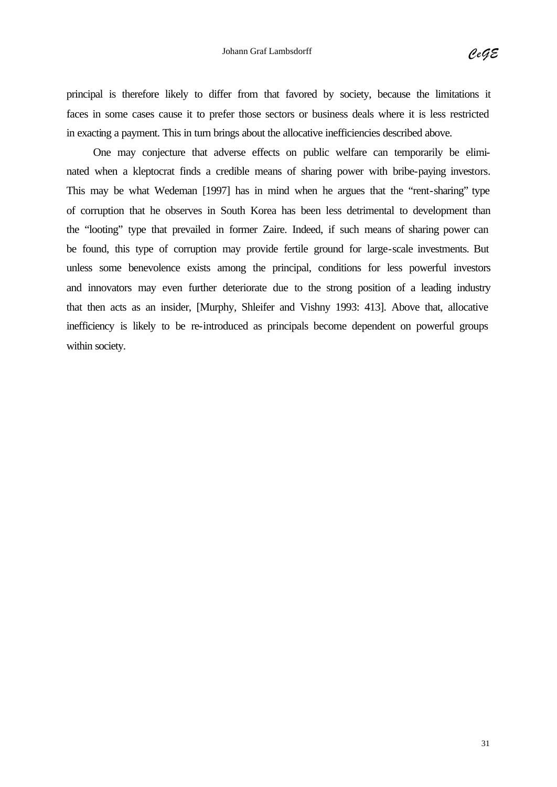principal is therefore likely to differ from that favored by society, because the limitations it faces in some cases cause it to prefer those sectors or business deals where it is less restricted in exacting a payment. This in turn brings about the allocative inefficiencies described above.

One may conjecture that adverse effects on public welfare can temporarily be eliminated when a kleptocrat finds a credible means of sharing power with bribe-paying investors. This may be what Wedeman [1997] has in mind when he argues that the "rent-sharing" type of corruption that he observes in South Korea has been less detrimental to development than the "looting" type that prevailed in former Zaire. Indeed, if such means of sharing power can be found, this type of corruption may provide fertile ground for large-scale investments. But unless some benevolence exists among the principal, conditions for less powerful investors and innovators may even further deteriorate due to the strong position of a leading industry that then acts as an insider, [Murphy, Shleifer and Vishny 1993: 413]. Above that, allocative inefficiency is likely to be re-introduced as principals become dependent on powerful groups within society.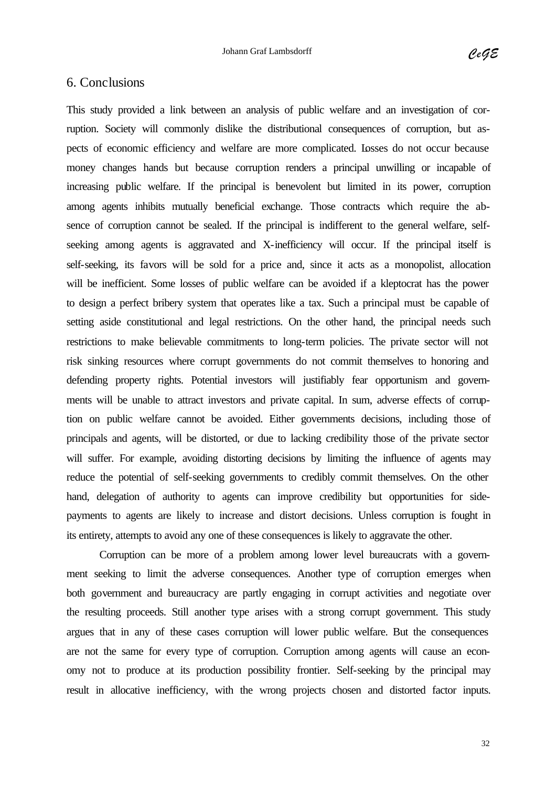#### 6. Conclusions

This study provided a link between an analysis of public welfare and an investigation of corruption. Society will commonly dislike the distributional consequences of corruption, but aspects of economic efficiency and welfare are more complicated. Losses do not occur because money changes hands but because corruption renders a principal unwilling or incapable of increasing public welfare. If the principal is benevolent but limited in its power, corruption among agents inhibits mutually beneficial exchange. Those contracts which require the absence of corruption cannot be sealed. If the principal is indifferent to the general welfare, selfseeking among agents is aggravated and X-inefficiency will occur. If the principal itself is self-seeking, its favors will be sold for a price and, since it acts as a monopolist, allocation will be inefficient. Some losses of public welfare can be avoided if a kleptocrat has the power to design a perfect bribery system that operates like a tax. Such a principal must be capable of setting aside constitutional and legal restrictions. On the other hand, the principal needs such restrictions to make believable commitments to long-term policies. The private sector will not risk sinking resources where corrupt governments do not commit themselves to honoring and defending property rights. Potential investors will justifiably fear opportunism and governments will be unable to attract investors and private capital. In sum, adverse effects of corruption on public welfare cannot be avoided. Either governments decisions, including those of principals and agents, will be distorted, or due to lacking credibility those of the private sector will suffer. For example, avoiding distorting decisions by limiting the influence of agents may reduce the potential of self-seeking governments to credibly commit themselves. On the other hand, delegation of authority to agents can improve credibility but opportunities for sidepayments to agents are likely to increase and distort decisions. Unless corruption is fought in its entirety, attempts to avoid any one of these consequences is likely to aggravate the other.

Corruption can be more of a problem among lower level bureaucrats with a government seeking to limit the adverse consequences. Another type of corruption emerges when both government and bureaucracy are partly engaging in corrupt activities and negotiate over the resulting proceeds. Still another type arises with a strong corrupt government. This study argues that in any of these cases corruption will lower public welfare. But the consequences are not the same for every type of corruption. Corruption among agents will cause an economy not to produce at its production possibility frontier. Self-seeking by the principal may result in allocative inefficiency, with the wrong projects chosen and distorted factor inputs.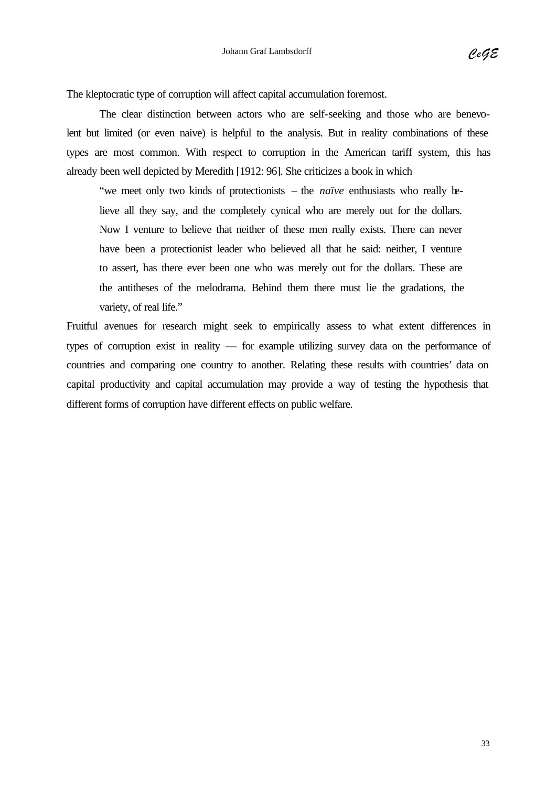The kleptocratic type of corruption will affect capital accumulation foremost.

The clear distinction between actors who are self-seeking and those who are benevolent but limited (or even naive) is helpful to the analysis. But in reality combinations of these types are most common. With respect to corruption in the American tariff system, this has already been well depicted by Meredith [1912: 96]. She criticizes a book in which

"we meet only two kinds of protectionists – the *naïve* enthusiasts who really believe all they say, and the completely cynical who are merely out for the dollars. Now I venture to believe that neither of these men really exists. There can never have been a protectionist leader who believed all that he said: neither, I venture to assert, has there ever been one who was merely out for the dollars. These are the antitheses of the melodrama. Behind them there must lie the gradations, the variety, of real life."

Fruitful avenues for research might seek to empirically assess to what extent differences in types of corruption exist in reality — for example utilizing survey data on the performance of countries and comparing one country to another. Relating these results with countries' data on capital productivity and capital accumulation may provide a way of testing the hypothesis that different forms of corruption have different effects on public welfare.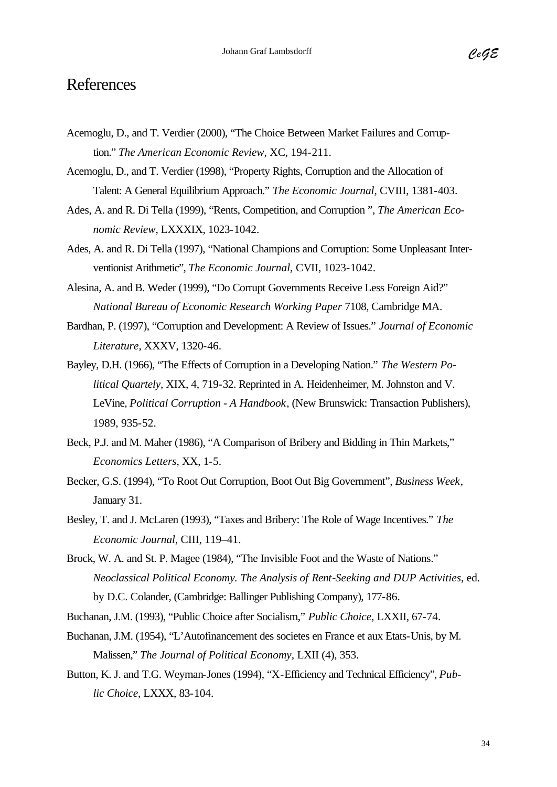### References

- Acemoglu, D., and T. Verdier (2000), "The Choice Between Market Failures and Corruption." *The American Economic Review,* XC, 194-211.
- Acemoglu, D., and T. Verdier (1998), "Property Rights, Corruption and the Allocation of Talent: A General Equilibrium Approach." *The Economic Journal,* CVIII, 1381-403.
- Ades, A. and R. Di Tella (1999), "Rents, Competition, and Corruption ", *The American Economic Review*, LXXXIX, 1023-1042.
- Ades, A. and R. Di Tella (1997), "National Champions and Corruption: Some Unpleasant Interventionist Arithmetic", *The Economic Journal*, CVII, 1023-1042.
- Alesina, A. and B. Weder (1999), "Do Corrupt Governments Receive Less Foreign Aid?" *National Bureau of Economic Research Working Paper* 7108, Cambridge MA.
- Bardhan, P. (1997), "Corruption and Development: A Review of Issues." *Journal of Economic Literature*, XXXV, 1320-46.
- Bayley, D.H. (1966), "The Effects of Corruption in a Developing Nation." *The Western Political Quartely,* XIX, 4, 719-32. Reprinted in A. Heidenheimer, M. Johnston and V. LeVine, *Political Corruption - A Handbook*, (New Brunswick: Transaction Publishers), 1989, 935-52.
- Beck, P.J. and M. Maher (1986), "A Comparison of Bribery and Bidding in Thin Markets," *Economics Letters*, XX, 1-5.
- Becker, G.S. (1994), "To Root Out Corruption, Boot Out Big Government", *Business Week*, January 31.
- Besley, T. and J. McLaren (1993), "Taxes and Bribery: The Role of Wage Incentives." *The Economic Journal*, CIII, 119–41.
- Brock, W. A. and St. P. Magee (1984), "The Invisible Foot and the Waste of Nations." *Neoclassical Political Economy. The Analysis of Rent-Seeking and DUP Activities*, ed. by D.C. Colander, (Cambridge: Ballinger Publishing Company), 177-86.
- Buchanan, J.M. (1993), "Public Choice after Socialism," *Public Choice,* LXXII, 67-74.
- Buchanan, J.M. (1954), "L'Autofinancement des societes en France et aux Etats-Unis, by M. Malissen," *The Journal of Political Economy,* LXII (4), 353.
- Button, K. J. and T.G. Weyman-Jones (1994), "X-Efficiency and Technical Efficiency", *Public Choice*, LXXX, 83-104.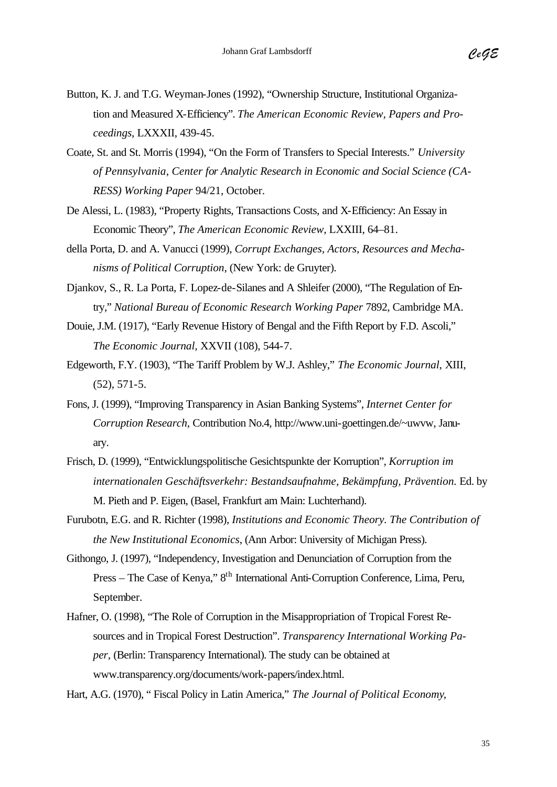- Button, K. J. and T.G. Weyman-Jones (1992), "Ownership Structure, Institutional Organization and Measured X-Efficiency". *The American Economic Review, Papers and Proceedings*, LXXXII, 439-45.
- Coate, St. and St. Morris (1994), "On the Form of Transfers to Special Interests." *University of Pennsylvania, Center for Analytic Research in Economic and Social Science (CA-RESS) Working Paper* 94/21, October.
- De Alessi, L. (1983), "Property Rights, Transactions Costs, and X-Efficiency: An Essay in Economic Theory", *The American Economic Review*, LXXIII, 64–81.
- della Porta, D. and A. Vanucci (1999), *Corrupt Exchanges, Actors, Resources and Mechanisms of Political Corruption*, (New York: de Gruyter).
- Djankov, S., R. La Porta, F. Lopez-de-Silanes and A Shleifer (2000), "The Regulation of Entry," *National Bureau of Economic Research Working Paper* 7892, Cambridge MA.
- Douie, J.M. (1917), "Early Revenue History of Bengal and the Fifth Report by F.D. Ascoli," *The Economic Journal,* XXVII (108), 544-7.
- Edgeworth, F.Y. (1903), "The Tariff Problem by W.J. Ashley," *The Economic Journal*, XIII, (52), 571-5.
- Fons, J. (1999), "Improving Transparency in Asian Banking Systems", *Internet Center for Corruption Research,* Contribution No.4, http://www.uni-goettingen.de/~uwvw, January.
- Frisch, D. (1999), "Entwicklungspolitische Gesichtspunkte der Korruption", *Korruption im internationalen Geschäftsverkehr: Bestandsaufnahme, Bekämpfung, Prävention.* Ed. by M. Pieth and P. Eigen, (Basel, Frankfurt am Main: Luchterhand).
- Furubotn, E.G. and R. Richter (1998), *Institutions and Economic Theory. The Contribution of the New Institutional Economics*, (Ann Arbor: University of Michigan Press).
- Githongo, J. (1997), "Independency, Investigation and Denunciation of Corruption from the Press – The Case of Kenya," 8<sup>th</sup> International Anti-Corruption Conference, Lima, Peru, September.
- Hafner, O. (1998), "The Role of Corruption in the Misappropriation of Tropical Forest Resources and in Tropical Forest Destruction". *Transparency International Working Paper,* (Berlin: Transparency International). The study can be obtained at www.transparency.org/documents/work-papers/index.html.

Hart, A.G. (1970), " Fiscal Policy in Latin America," *The Journal of Political Economy*,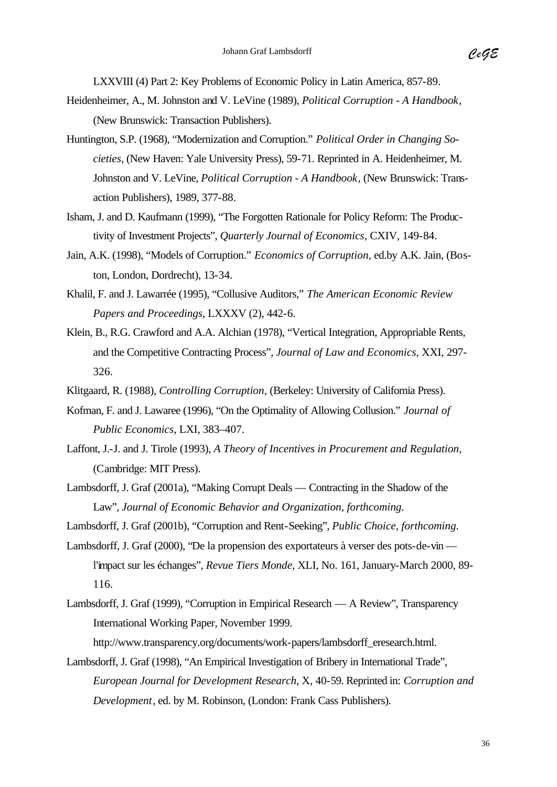LXXVIII (4) Part 2: Key Problems of Economic Policy in Latin America, 857-89.

- Heidenheimer, A., M. Johnston and V. LeVine (1989), *Political Corruption A Handbook*, (New Brunswick: Transaction Publishers).
- Huntington, S.P. (1968), "Modernization and Corruption." *Political Order in Changing Societies*, (New Haven: Yale University Press), 59-71. Reprinted in A. Heidenheimer, M. Johnston and V. LeVine, *Political Corruption - A Handbook*, (New Brunswick: Transaction Publishers), 1989, 377-88.
- Isham, J. and D. Kaufmann (1999), "The Forgotten Rationale for Policy Reform: The Productivity of Investment Projects", *Quarterly Journal of Economics*, CXIV, 149-84.
- Jain, A.K. (1998), "Models of Corruption." *Economics of Corruption*, ed.by A.K. Jain, (Boston, London, Dordrecht), 13-34.
- Khalil, F. and J. Lawarrée (1995), "Collusive Auditors," *The American Economic Review Papers and Proceedings*, LXXXV (2), 442-6.
- Klein, B., R.G. Crawford and A.A. Alchian (1978), "Vertical Integration, Appropriable Rents, and the Competitive Contracting Process", *Journal of Law and Economics*, XXI, 297- 326.
- Klitgaard, R. (1988), *Controlling Corruption,* (Berkeley: University of California Press).
- Kofman, F. and J. Lawaree (1996), "On the Optimality of Allowing Collusion." *Journal of Public Economics*, LXI, 383–407.
- Laffont, J.-J. and J. Tirole (1993), *A Theory of Incentives in Procurement and Regulation,* (Cambridge: MIT Press).
- Lambsdorff, J. Graf (2001a), "Making Corrupt Deals Contracting in the Shadow of the Law", *Journal of Economic Behavior and Organization, forthcoming.*
- Lambsdorff, J. Graf (2001b), "Corruption and Rent-Seeking", *Public Choice, forthcoming.*
- Lambsdorff, J. Graf (2000), "De la propension des exportateurs à verser des pots-de-vin l'impact sur les échanges", *Revue Tiers Monde*, XLI, No. 161, January-March 2000, 89- 116.
- Lambsdorff, J. Graf (1999), "Corruption in Empirical Research A Review", Transparency International Working Paper, November 1999. http://www.transparency.org/documents/work-papers/lambsdorff\_eresearch.html.
- Lambsdorff, J. Graf (1998), "An Empirical Investigation of Bribery in International Trade", *European Journal for Development Research*, X, 40-59. Reprinted in: *Corruption and Development*, ed. by M. Robinson, (London: Frank Cass Publishers).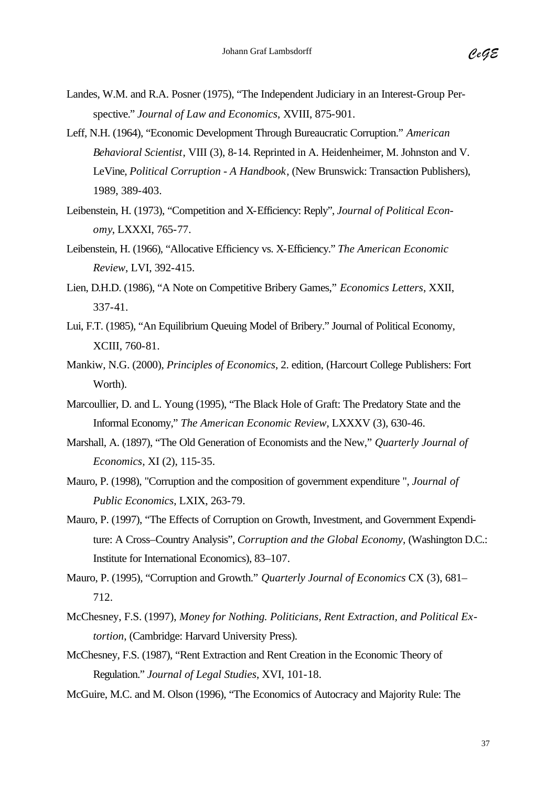- Landes, W.M. and R.A. Posner (1975), "The Independent Judiciary in an Interest-Group Perspective." *Journal of Law and Economics*, XVIII, 875-901.
- Leff, N.H. (1964), "Economic Development Through Bureaucratic Corruption." *American Behavioral Scientist*, VIII (3), 8-14. Reprinted in A. Heidenheimer, M. Johnston and V. LeVine, *Political Corruption - A Handbook*, (New Brunswick: Transaction Publishers), 1989, 389-403.
- Leibenstein, H. (1973), "Competition and X-Efficiency: Reply", *Journal of Political Economy*, LXXXI, 765-77.
- Leibenstein, H. (1966), "Allocative Efficiency vs. X-Efficiency." *The American Economic Review*, LVI, 392-415.
- Lien, D.H.D. (1986), "A Note on Competitive Bribery Games," *Economics Letters*, XXII, 337-41.
- Lui, F.T. (1985), "An Equilibrium Queuing Model of Bribery." Journal of Political Economy, XCIII, 760-81.
- Mankiw, N.G. (2000), *Principles of Economics*, 2. edition, (Harcourt College Publishers: Fort Worth).
- Marcoullier, D. and L. Young (1995), "The Black Hole of Graft: The Predatory State and the Informal Economy," *The American Economic Review*, LXXXV (3), 630-46.
- Marshall, A. (1897), "The Old Generation of Economists and the New," *Quarterly Journal of Economics,* XI (2), 115-35.
- Mauro, P. (1998), "Corruption and the composition of government expenditure ", *Journal of Public Economics*, LXIX, 263-79.
- Mauro, P. (1997), "The Effects of Corruption on Growth, Investment, and Government Expenditure: A Cross–Country Analysis", *Corruption and the Global Economy,* (Washington D.C.: Institute for International Economics), 83–107.
- Mauro, P. (1995), "Corruption and Growth." *Quarterly Journal of Economics* CX (3), 681– 712.
- McChesney, F.S. (1997), *Money for Nothing. Politicians, Rent Extraction, and Political Extortion*, (Cambridge: Harvard University Press).
- McChesney, F.S. (1987), "Rent Extraction and Rent Creation in the Economic Theory of Regulation." *Journal of Legal Studies*, XVI, 101-18.
- McGuire, M.C. and M. Olson (1996), "The Economics of Autocracy and Majority Rule: The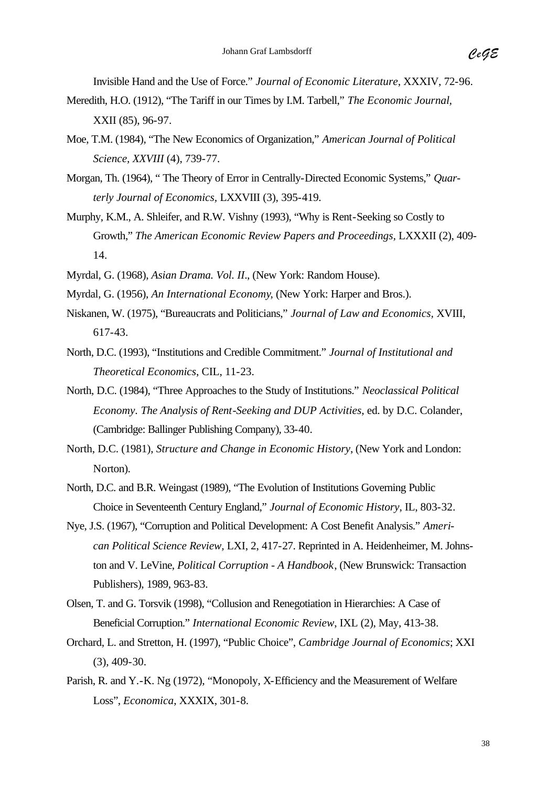Invisible Hand and the Use of Force." *Journal of Economic Literature*, XXXIV, 72-96.

- Meredith, H.O. (1912), "The Tariff in our Times by I.M. Tarbell," *The Economic Journal,*  XXII (85), 96-97.
- Moe, T.M. (1984), "The New Economics of Organization," *American Journal of Political Science, XXVIII* (4), 739-77.
- Morgan, Th. (1964), " The Theory of Error in Centrally-Directed Economic Systems," *Quarterly Journal of Economics,* LXXVIII (3), 395-419*.*
- Murphy, K.M., A. Shleifer, and R.W. Vishny (1993), "Why is Rent-Seeking so Costly to Growth," *The American Economic Review Papers and Proceedings,* LXXXII (2), 409- 14.
- Myrdal, G. (1968), *Asian Drama. Vol. II*., (New York: Random House).
- Myrdal, G. (1956), *An International Economy*, (New York: Harper and Bros.).
- Niskanen, W. (1975), "Bureaucrats and Politicians," *Journal of Law and Economics,* XVIII, 617-43.
- North, D.C. (1993), "Institutions and Credible Commitment." *Journal of Institutional and Theoretical Economics*, CIL, 11-23.
- North, D.C. (1984), "Three Approaches to the Study of Institutions." *Neoclassical Political Economy. The Analysis of Rent-Seeking and DUP Activities*, ed. by D.C. Colander, (Cambridge: Ballinger Publishing Company), 33-40.
- North, D.C. (1981), *Structure and Change in Economic History*, (New York and London: Norton).
- North, D.C. and B.R. Weingast (1989), "The Evolution of Institutions Governing Public Choice in Seventeenth Century England," *Journal of Economic History*, IL, 803-32.
- Nye, J.S. (1967), "Corruption and Political Development: A Cost Benefit Analysis." *American Political Science Review,* LXI, 2, 417-27. Reprinted in A. Heidenheimer, M. Johnston and V. LeVine, *Political Corruption - A Handbook*, (New Brunswick: Transaction Publishers), 1989, 963-83.
- Olsen, T. and G. Torsvik (1998), "Collusion and Renegotiation in Hierarchies: A Case of Beneficial Corruption." *International Economic Review*, IXL (2), May, 413-38.
- Orchard, L. and Stretton, H. (1997), "Public Choice", *Cambridge Journal of Economics*; XXI (3), 409-30.
- Parish, R. and Y.-K. Ng (1972), "Monopoly, X-Efficiency and the Measurement of Welfare Loss", *Economica*, XXXIX, 301-8.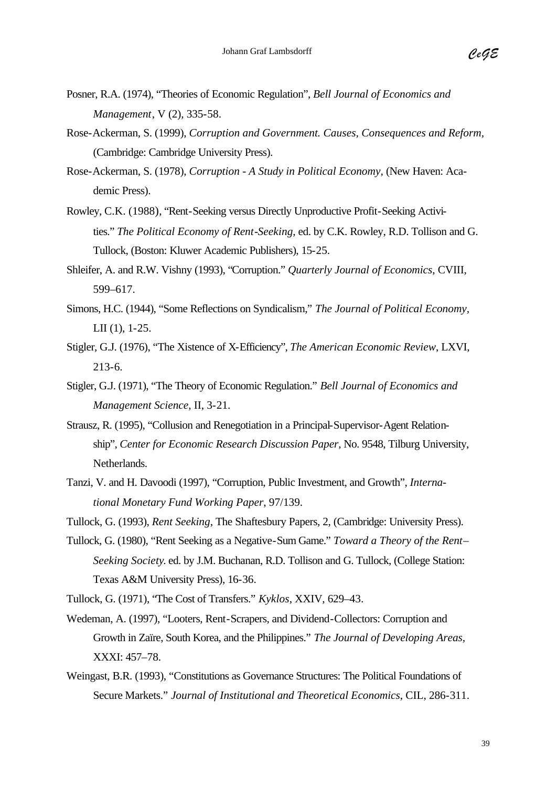- Posner, R.A. (1974), "Theories of Economic Regulation", *Bell Journal of Economics and Management*, V (2), 335-58.
- Rose-Ackerman, S. (1999), *Corruption and Government. Causes, Consequences and Reform,*  (Cambridge: Cambridge University Press).
- Rose-Ackerman, S. (1978), *Corruption A Study in Political Economy,* (New Haven: Academic Press).
- Rowley, C.K. (1988), "Rent-Seeking versus Directly Unproductive Profit-Seeking Activities." *The Political Economy of Rent-Seeking*, ed. by C.K. Rowley, R.D. Tollison and G. Tullock, (Boston: Kluwer Academic Publishers), 15-25.
- Shleifer, A. and R.W. Vishny (1993), "Corruption." *Quarterly Journal of Economics*, CVIII, 599–617.
- Simons, H.C. (1944), "Some Reflections on Syndicalism," *The Journal of Political Economy,*  LII (1), 1-25.
- Stigler, G.J. (1976), "The Xistence of X-Efficiency", *The American Economic Review*, LXVI, 213-6.
- Stigler, G.J. (1971), "The Theory of Economic Regulation." *Bell Journal of Economics and Management Science*, II, 3-21.
- Strausz, R. (1995), "Collusion and Renegotiation in a Principal-Supervisor-Agent Relationship", *Center for Economic Research Discussion Paper*, No. 9548, Tilburg University, Netherlands.
- Tanzi, V. and H. Davoodi (1997), "Corruption, Public Investment, and Growth", *International Monetary Fund Working Paper*, 97/139.
- Tullock, G. (1993), *Rent Seeking*, The Shaftesbury Papers, 2, (Cambridge: University Press).
- Tullock, G. (1980), "Rent Seeking as a Negative-Sum Game." *Toward a Theory of the Rent– Seeking Society*. ed. by J.M. Buchanan, R.D. Tollison and G. Tullock, (College Station: Texas A&M University Press), 16-36.
- Tullock, G. (1971), "The Cost of Transfers." *Kyklos*, XXIV, 629–43.
- Wedeman, A. (1997), "Looters, Rent-Scrapers, and Dividend-Collectors: Corruption and Growth in Zaïre, South Korea, and the Philippines." *The Journal of Developing Areas,*  XXXI: 457–78.
- Weingast, B.R. (1993), "Constitutions as Governance Structures: The Political Foundations of Secure Markets." *Journal of Institutional and Theoretical Economics*, CIL, 286-311.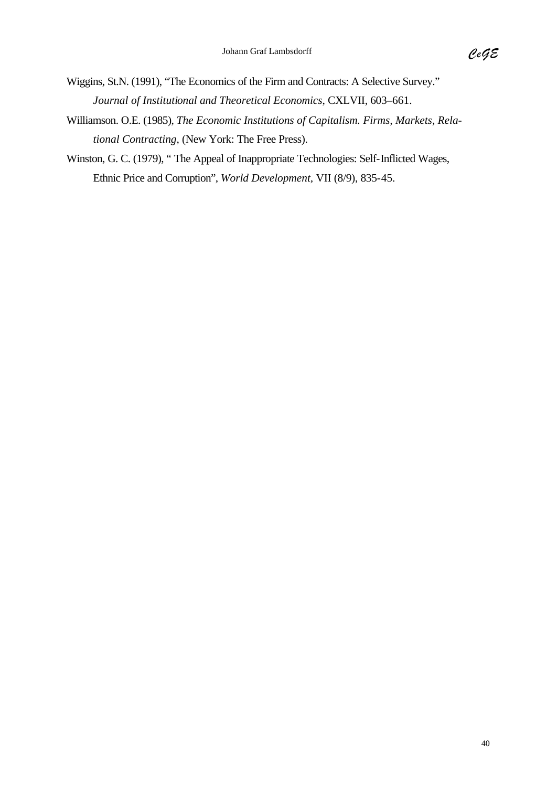- Wiggins, St.N. (1991), "The Economics of the Firm and Contracts: A Selective Survey." *Journal of Institutional and Theoretical Economics*, CXLVII, 603–661.
- Williamson. O.E. (1985), *The Economic Institutions of Capitalism. Firms, Markets, Relational Contracting*, (New York: The Free Press).
- Winston, G. C. (1979), " The Appeal of Inappropriate Technologies: Self-Inflicted Wages, Ethnic Price and Corruption", *World Development,* VII (8/9), 835-45.